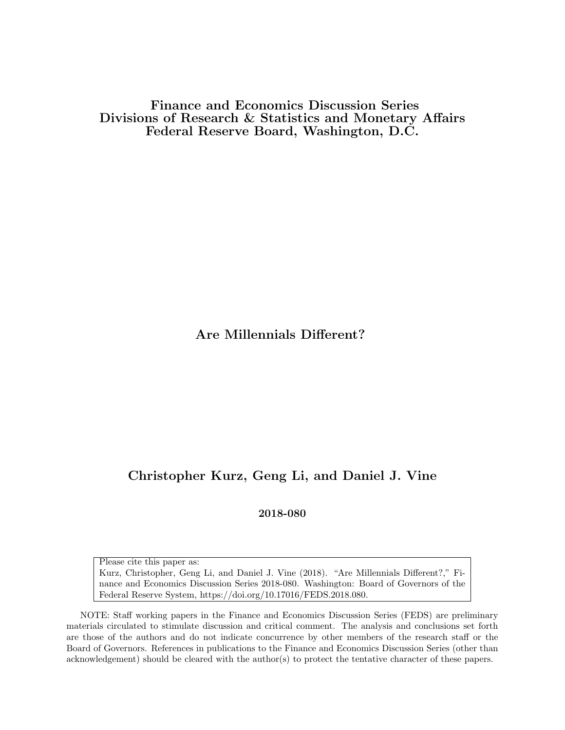Finance and Economics Discussion Series Divisions of Research & Statistics and Monetary Affairs Federal Reserve Board, Washington, D.C.

Are Millennials Different?

# Christopher Kurz, Geng Li, and Daniel J. Vine

2018-080

Please cite this paper as: Kurz, Christopher, Geng Li, and Daniel J. Vine (2018). "Are Millennials Different?," Finance and Economics Discussion Series 2018-080. Washington: Board of Governors of the Federal Reserve System, https://doi.org/10.17016/FEDS.2018.080.

NOTE: Staff working papers in the Finance and Economics Discussion Series (FEDS) are preliminary materials circulated to stimulate discussion and critical comment. The analysis and conclusions set forth are those of the authors and do not indicate concurrence by other members of the research staff or the Board of Governors. References in publications to the Finance and Economics Discussion Series (other than acknowledgement) should be cleared with the author(s) to protect the tentative character of these papers.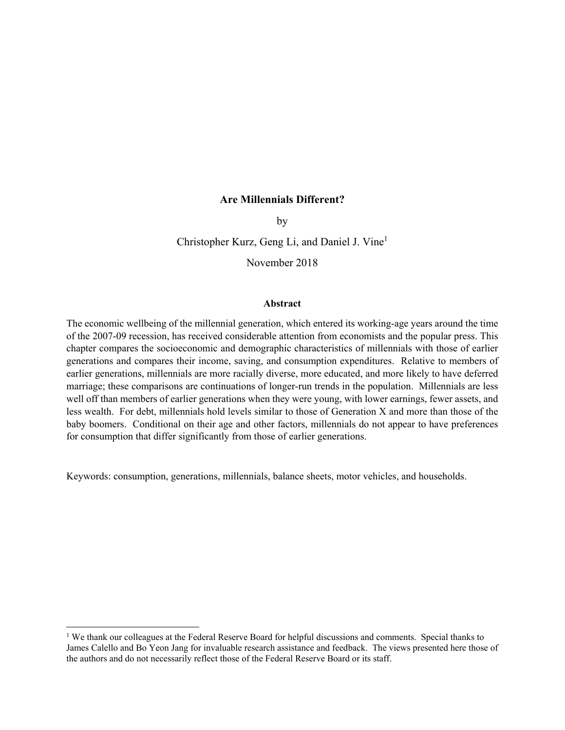## **Are Millennials Different?**

by

Christopher Kurz, Geng Li, and Daniel J. Vine1

November 2018

#### **Abstract**

The economic wellbeing of the millennial generation, which entered its working-age years around the time of the 2007-09 recession, has received considerable attention from economists and the popular press. This chapter compares the socioeconomic and demographic characteristics of millennials with those of earlier generations and compares their income, saving, and consumption expenditures. Relative to members of earlier generations, millennials are more racially diverse, more educated, and more likely to have deferred marriage; these comparisons are continuations of longer-run trends in the population. Millennials are less well off than members of earlier generations when they were young, with lower earnings, fewer assets, and less wealth. For debt, millennials hold levels similar to those of Generation X and more than those of the baby boomers. Conditional on their age and other factors, millennials do not appear to have preferences for consumption that differ significantly from those of earlier generations.

Keywords: consumption, generations, millennials, balance sheets, motor vehicles, and households.

<sup>&</sup>lt;sup>1</sup> We thank our colleagues at the Federal Reserve Board for helpful discussions and comments. Special thanks to James Calello and Bo Yeon Jang for invaluable research assistance and feedback. The views presented here those of the authors and do not necessarily reflect those of the Federal Reserve Board or its staff.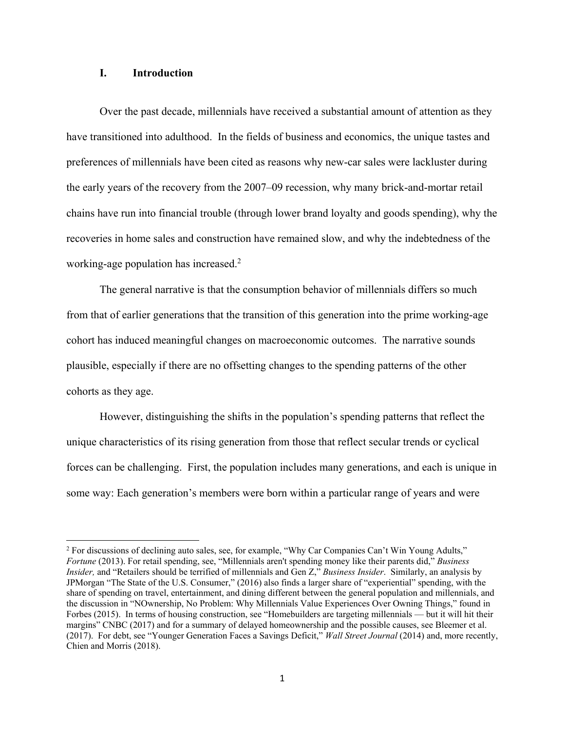## **I. Introduction**

Over the past decade, millennials have received a substantial amount of attention as they have transitioned into adulthood. In the fields of business and economics, the unique tastes and preferences of millennials have been cited as reasons why new-car sales were lackluster during the early years of the recovery from the 2007–09 recession, why many brick-and-mortar retail chains have run into financial trouble (through lower brand loyalty and goods spending), why the recoveries in home sales and construction have remained slow, and why the indebtedness of the working-age population has increased. $2$ 

The general narrative is that the consumption behavior of millennials differs so much from that of earlier generations that the transition of this generation into the prime working-age cohort has induced meaningful changes on macroeconomic outcomes. The narrative sounds plausible, especially if there are no offsetting changes to the spending patterns of the other cohorts as they age.

However, distinguishing the shifts in the population's spending patterns that reflect the unique characteristics of its rising generation from those that reflect secular trends or cyclical forces can be challenging. First, the population includes many generations, and each is unique in some way: Each generation's members were born within a particular range of years and were

<sup>&</sup>lt;sup>2</sup> For discussions of declining auto sales, see, for example, "Why Car Companies Can't Win Young Adults," *Fortune* (2013). For retail spending, see, "Millennials aren't spending money like their parents did," *Business Insider,* and "Retailers should be terrified of millennials and Gen Z," *Business Insider*. Similarly, an analysis by JPMorgan "The State of the U.S. Consumer," (2016) also finds a larger share of "experiential" spending, with the share of spending on travel, entertainment, and dining different between the general population and millennials, and the discussion in "NOwnership, No Problem: Why Millennials Value Experiences Over Owning Things," found in Forbes (2015). In terms of housing construction, see "Homebuilders are targeting millennials — but it will hit their margins" CNBC (2017) and for a summary of delayed homeownership and the possible causes, see Bleemer et al. (2017). For debt, see "Younger Generation Faces a Savings Deficit," *Wall Street Journal* (2014) and, more recently, Chien and Morris (2018).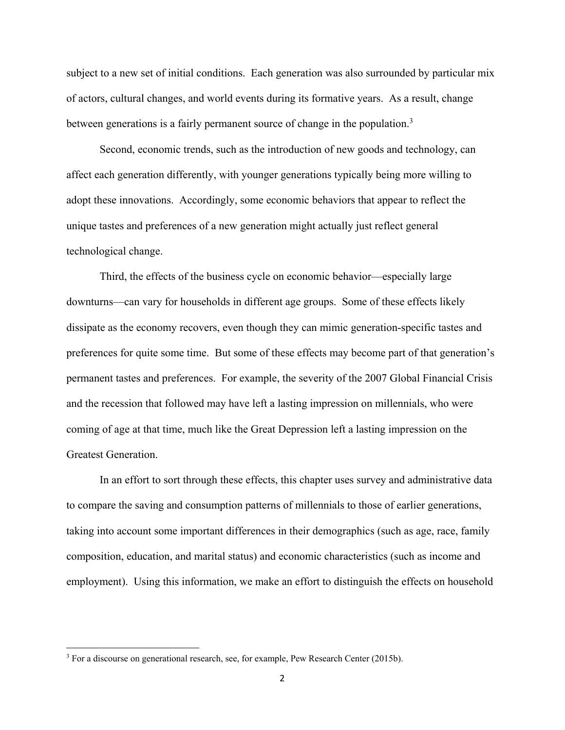subject to a new set of initial conditions. Each generation was also surrounded by particular mix of actors, cultural changes, and world events during its formative years. As a result, change between generations is a fairly permanent source of change in the population.<sup>3</sup>

Second, economic trends, such as the introduction of new goods and technology, can affect each generation differently, with younger generations typically being more willing to adopt these innovations. Accordingly, some economic behaviors that appear to reflect the unique tastes and preferences of a new generation might actually just reflect general technological change.

Third, the effects of the business cycle on economic behavior—especially large downturns—can vary for households in different age groups. Some of these effects likely dissipate as the economy recovers, even though they can mimic generation-specific tastes and preferences for quite some time. But some of these effects may become part of that generation's permanent tastes and preferences. For example, the severity of the 2007 Global Financial Crisis and the recession that followed may have left a lasting impression on millennials, who were coming of age at that time, much like the Great Depression left a lasting impression on the Greatest Generation.

In an effort to sort through these effects, this chapter uses survey and administrative data to compare the saving and consumption patterns of millennials to those of earlier generations, taking into account some important differences in their demographics (such as age, race, family composition, education, and marital status) and economic characteristics (such as income and employment). Using this information, we make an effort to distinguish the effects on household

<sup>&</sup>lt;sup>3</sup> For a discourse on generational research, see, for example, Pew Research Center (2015b).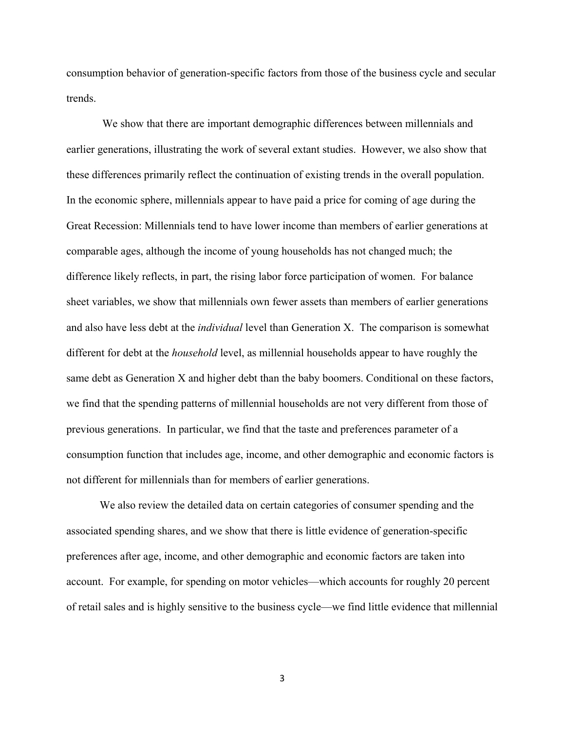consumption behavior of generation-specific factors from those of the business cycle and secular trends.

 We show that there are important demographic differences between millennials and earlier generations, illustrating the work of several extant studies. However, we also show that these differences primarily reflect the continuation of existing trends in the overall population. In the economic sphere, millennials appear to have paid a price for coming of age during the Great Recession: Millennials tend to have lower income than members of earlier generations at comparable ages, although the income of young households has not changed much; the difference likely reflects, in part, the rising labor force participation of women. For balance sheet variables, we show that millennials own fewer assets than members of earlier generations and also have less debt at the *individual* level than Generation X. The comparison is somewhat different for debt at the *household* level, as millennial households appear to have roughly the same debt as Generation X and higher debt than the baby boomers. Conditional on these factors, we find that the spending patterns of millennial households are not very different from those of previous generations. In particular, we find that the taste and preferences parameter of a consumption function that includes age, income, and other demographic and economic factors is not different for millennials than for members of earlier generations.

We also review the detailed data on certain categories of consumer spending and the associated spending shares, and we show that there is little evidence of generation-specific preferences after age, income, and other demographic and economic factors are taken into account. For example, for spending on motor vehicles—which accounts for roughly 20 percent of retail sales and is highly sensitive to the business cycle—we find little evidence that millennial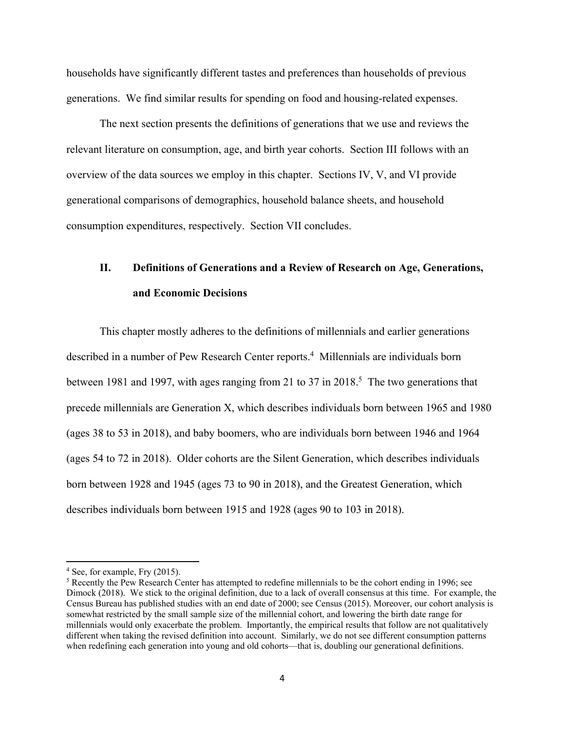households have significantly different tastes and preferences than households of previous generations. We find similar results for spending on food and housing-related expenses.

The next section presents the definitions of generations that we use and reviews the relevant literature on consumption, age, and birth year cohorts. Section III follows with an overview of the data sources we employ in this chapter. Sections IV, V, and VI provide generational comparisons of demographics, household balance sheets, and household consumption expenditures, respectively. Section VII concludes.

# **II. Definitions of Generations and a Review of Research on Age, Generations, and Economic Decisions**

This chapter mostly adheres to the definitions of millennials and earlier generations described in a number of Pew Research Center reports.<sup>4</sup> Millennials are individuals born between 1981 and 1997, with ages ranging from 21 to 37 in 2018.<sup>5</sup> The two generations that precede millennials are Generation X, which describes individuals born between 1965 and 1980 (ages 38 to 53 in 2018), and baby boomers, who are individuals born between 1946 and 1964 (ages 54 to 72 in 2018). Older cohorts are the Silent Generation, which describes individuals born between 1928 and 1945 (ages 73 to 90 in 2018), and the Greatest Generation, which describes individuals born between 1915 and 1928 (ages 90 to 103 in 2018).

<sup>&</sup>lt;sup>4</sup> See, for example, Fry (2015).

<sup>&</sup>lt;sup>5</sup> Recently the Pew Research Center has attempted to redefine millennials to be the cohort ending in 1996; see Dimock (2018). We stick to the original definition, due to a lack of overall consensus at this time. For example, the Census Bureau has published studies with an end date of 2000; see Census (2015). Moreover, our cohort analysis is somewhat restricted by the small sample size of the millennial cohort, and lowering the birth date range for millennials would only exacerbate the problem. Importantly, the empirical results that follow are not qualitatively different when taking the revised definition into account. Similarly, we do not see different consumption patterns when redefining each generation into young and old cohorts—that is, doubling our generational definitions.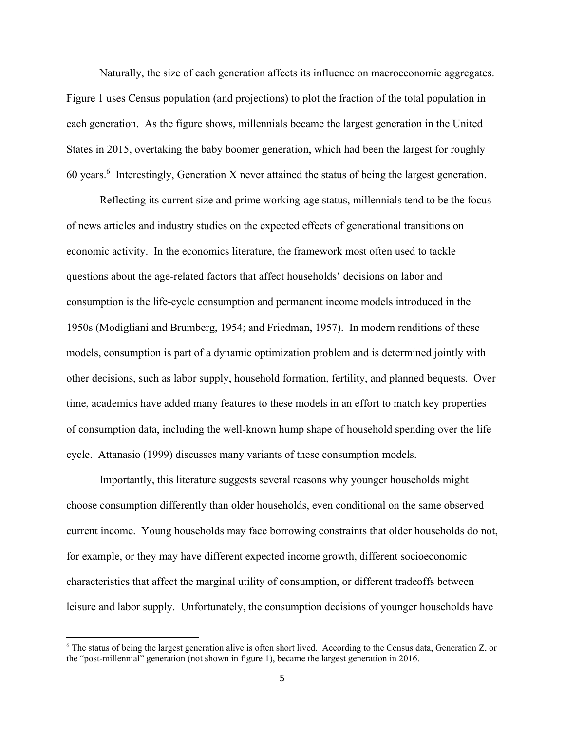Naturally, the size of each generation affects its influence on macroeconomic aggregates. Figure 1 uses Census population (and projections) to plot the fraction of the total population in each generation. As the figure shows, millennials became the largest generation in the United States in 2015, overtaking the baby boomer generation, which had been the largest for roughly 60 years.<sup>6</sup> Interestingly, Generation X never attained the status of being the largest generation.

Reflecting its current size and prime working-age status, millennials tend to be the focus of news articles and industry studies on the expected effects of generational transitions on economic activity. In the economics literature, the framework most often used to tackle questions about the age-related factors that affect households' decisions on labor and consumption is the life-cycle consumption and permanent income models introduced in the 1950s (Modigliani and Brumberg, 1954; and Friedman, 1957). In modern renditions of these models, consumption is part of a dynamic optimization problem and is determined jointly with other decisions, such as labor supply, household formation, fertility, and planned bequests. Over time, academics have added many features to these models in an effort to match key properties of consumption data, including the well-known hump shape of household spending over the life cycle. Attanasio (1999) discusses many variants of these consumption models.

Importantly, this literature suggests several reasons why younger households might choose consumption differently than older households, even conditional on the same observed current income. Young households may face borrowing constraints that older households do not, for example, or they may have different expected income growth, different socioeconomic characteristics that affect the marginal utility of consumption, or different tradeoffs between leisure and labor supply. Unfortunately, the consumption decisions of younger households have

<sup>6</sup> The status of being the largest generation alive is often short lived. According to the Census data, Generation Z, or the "post-millennial" generation (not shown in figure 1), became the largest generation in 2016.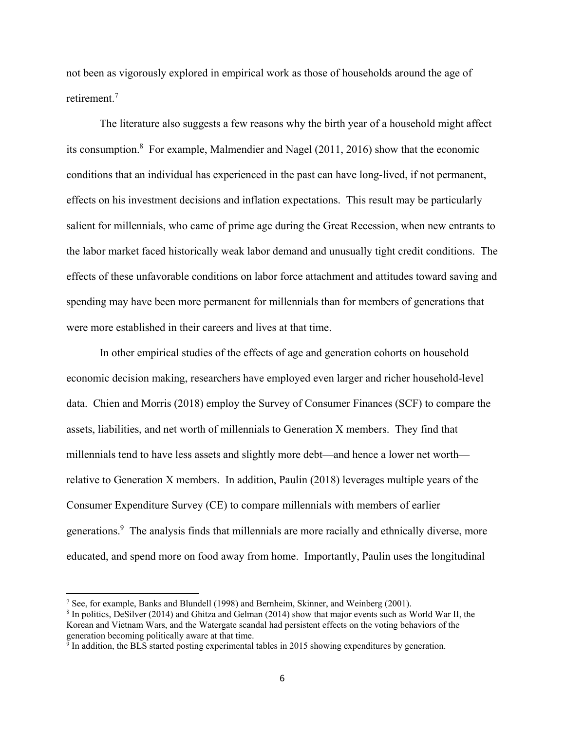not been as vigorously explored in empirical work as those of households around the age of retirement.7

The literature also suggests a few reasons why the birth year of a household might affect its consumption. $8$  For example, Malmendier and Nagel (2011, 2016) show that the economic conditions that an individual has experienced in the past can have long-lived, if not permanent, effects on his investment decisions and inflation expectations. This result may be particularly salient for millennials, who came of prime age during the Great Recession, when new entrants to the labor market faced historically weak labor demand and unusually tight credit conditions. The effects of these unfavorable conditions on labor force attachment and attitudes toward saving and spending may have been more permanent for millennials than for members of generations that were more established in their careers and lives at that time.

In other empirical studies of the effects of age and generation cohorts on household economic decision making, researchers have employed even larger and richer household-level data. Chien and Morris (2018) employ the Survey of Consumer Finances (SCF) to compare the assets, liabilities, and net worth of millennials to Generation X members. They find that millennials tend to have less assets and slightly more debt—and hence a lower net worth relative to Generation X members. In addition, Paulin (2018) leverages multiple years of the Consumer Expenditure Survey (CE) to compare millennials with members of earlier generations.<sup>9</sup> The analysis finds that millennials are more racially and ethnically diverse, more educated, and spend more on food away from home. Importantly, Paulin uses the longitudinal

<sup>&</sup>lt;sup>7</sup> See, for example, Banks and Blundell (1998) and Bernheim, Skinner, and Weinberg (2001).

<sup>&</sup>lt;sup>8</sup> In politics, DeSilver (2014) and Ghitza and Gelman (2014) show that major events such as World War II, the Korean and Vietnam Wars, and the Watergate scandal had persistent effects on the voting behaviors of the generation becoming politically aware at that time.<br><sup>9</sup> In addition, the BLS started posting experimental tables in 2015 showing expenditures by generation.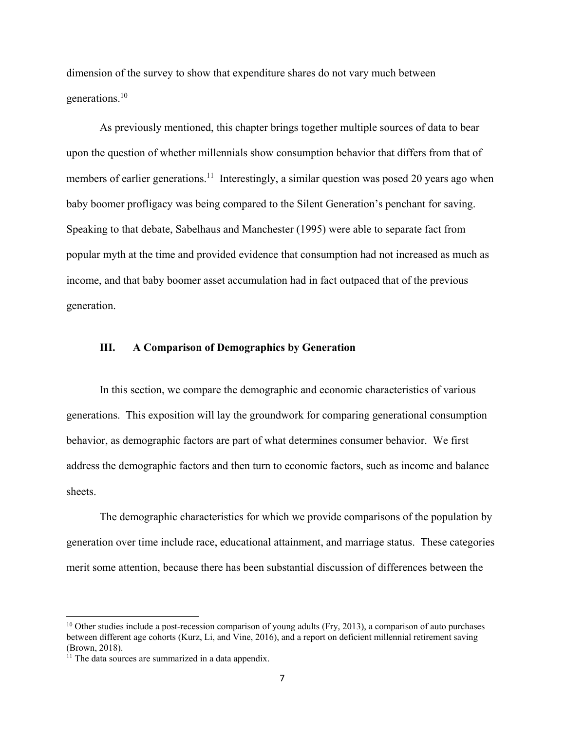dimension of the survey to show that expenditure shares do not vary much between generations.<sup>10</sup>

As previously mentioned, this chapter brings together multiple sources of data to bear upon the question of whether millennials show consumption behavior that differs from that of members of earlier generations.<sup>11</sup> Interestingly, a similar question was posed 20 years ago when baby boomer profligacy was being compared to the Silent Generation's penchant for saving. Speaking to that debate, Sabelhaus and Manchester (1995) were able to separate fact from popular myth at the time and provided evidence that consumption had not increased as much as income, and that baby boomer asset accumulation had in fact outpaced that of the previous generation.

#### **III. A Comparison of Demographics by Generation**

In this section, we compare the demographic and economic characteristics of various generations. This exposition will lay the groundwork for comparing generational consumption behavior, as demographic factors are part of what determines consumer behavior. We first address the demographic factors and then turn to economic factors, such as income and balance sheets.

The demographic characteristics for which we provide comparisons of the population by generation over time include race, educational attainment, and marriage status. These categories merit some attention, because there has been substantial discussion of differences between the

 $10$  Other studies include a post-recession comparison of young adults (Fry, 2013), a comparison of auto purchases between different age cohorts (Kurz, Li, and Vine, 2016), and a report on deficient millennial retirement saving (Brown, 2018).

 $11$  The data sources are summarized in a data appendix.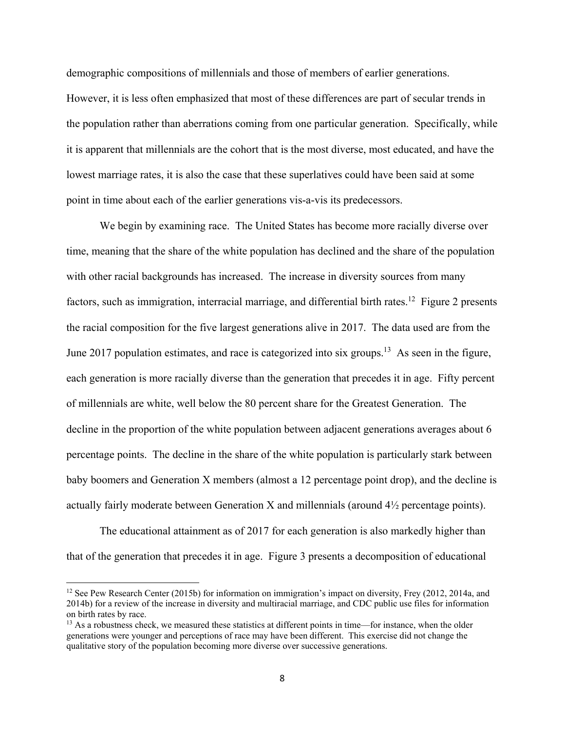demographic compositions of millennials and those of members of earlier generations. However, it is less often emphasized that most of these differences are part of secular trends in the population rather than aberrations coming from one particular generation. Specifically, while it is apparent that millennials are the cohort that is the most diverse, most educated, and have the lowest marriage rates, it is also the case that these superlatives could have been said at some point in time about each of the earlier generations vis-a-vis its predecessors.

We begin by examining race. The United States has become more racially diverse over time, meaning that the share of the white population has declined and the share of the population with other racial backgrounds has increased. The increase in diversity sources from many factors, such as immigration, interracial marriage, and differential birth rates.<sup>12</sup> Figure 2 presents the racial composition for the five largest generations alive in 2017. The data used are from the June 2017 population estimates, and race is categorized into six groups.<sup>13</sup> As seen in the figure, each generation is more racially diverse than the generation that precedes it in age. Fifty percent of millennials are white, well below the 80 percent share for the Greatest Generation. The decline in the proportion of the white population between adjacent generations averages about 6 percentage points. The decline in the share of the white population is particularly stark between baby boomers and Generation X members (almost a 12 percentage point drop), and the decline is actually fairly moderate between Generation X and millennials (around 4½ percentage points).

The educational attainment as of 2017 for each generation is also markedly higher than that of the generation that precedes it in age. Figure 3 presents a decomposition of educational

<sup>&</sup>lt;sup>12</sup> See Pew Research Center (2015b) for information on immigration's impact on diversity, Frey (2012, 2014a, and 2014b) for a review of the increase in diversity and multiracial marriage, and CDC public use files for information on birth rates by race.

 $13$  As a robustness check, we measured these statistics at different points in time—for instance, when the older generations were younger and perceptions of race may have been different. This exercise did not change the qualitative story of the population becoming more diverse over successive generations.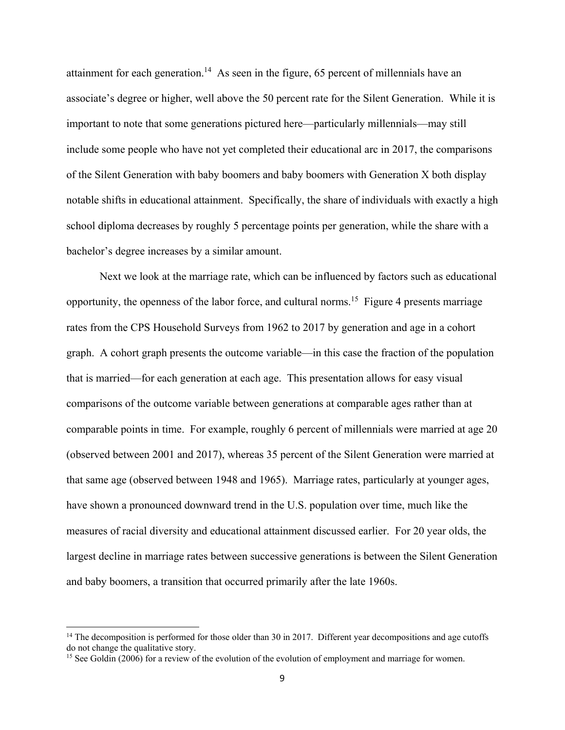attainment for each generation.<sup>14</sup> As seen in the figure, 65 percent of millennials have an associate's degree or higher, well above the 50 percent rate for the Silent Generation. While it is important to note that some generations pictured here—particularly millennials—may still include some people who have not yet completed their educational arc in 2017, the comparisons of the Silent Generation with baby boomers and baby boomers with Generation X both display notable shifts in educational attainment. Specifically, the share of individuals with exactly a high school diploma decreases by roughly 5 percentage points per generation, while the share with a bachelor's degree increases by a similar amount.

Next we look at the marriage rate, which can be influenced by factors such as educational opportunity, the openness of the labor force, and cultural norms.<sup>15</sup> Figure 4 presents marriage rates from the CPS Household Surveys from 1962 to 2017 by generation and age in a cohort graph. A cohort graph presents the outcome variable—in this case the fraction of the population that is married—for each generation at each age. This presentation allows for easy visual comparisons of the outcome variable between generations at comparable ages rather than at comparable points in time. For example, roughly 6 percent of millennials were married at age 20 (observed between 2001 and 2017), whereas 35 percent of the Silent Generation were married at that same age (observed between 1948 and 1965). Marriage rates, particularly at younger ages, have shown a pronounced downward trend in the U.S. population over time, much like the measures of racial diversity and educational attainment discussed earlier. For 20 year olds, the largest decline in marriage rates between successive generations is between the Silent Generation and baby boomers, a transition that occurred primarily after the late 1960s.

<sup>&</sup>lt;sup>14</sup> The decomposition is performed for those older than 30 in 2017. Different year decompositions and age cutoffs do not change the qualitative story.

<sup>&</sup>lt;sup>15</sup> See Goldin (2006) for a review of the evolution of the evolution of employment and marriage for women.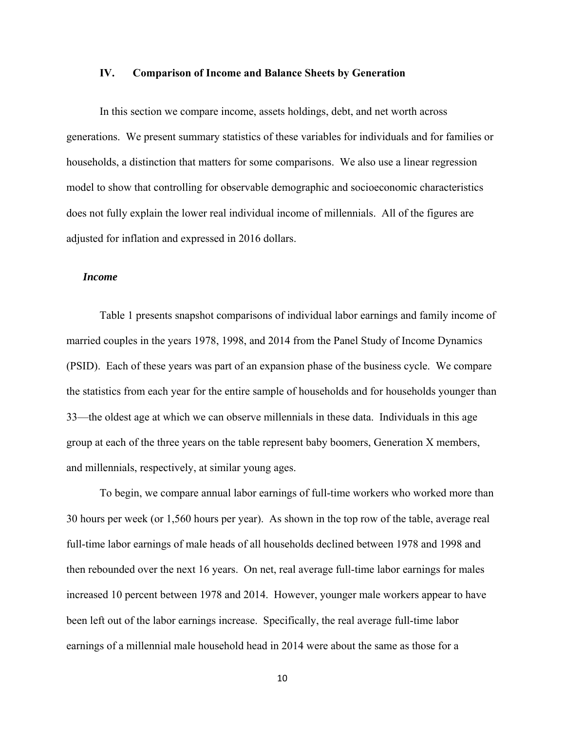#### **IV. Comparison of Income and Balance Sheets by Generation**

In this section we compare income, assets holdings, debt, and net worth across generations. We present summary statistics of these variables for individuals and for families or households, a distinction that matters for some comparisons. We also use a linear regression model to show that controlling for observable demographic and socioeconomic characteristics does not fully explain the lower real individual income of millennials. All of the figures are adjusted for inflation and expressed in 2016 dollars.

#### *Income*

Table 1 presents snapshot comparisons of individual labor earnings and family income of married couples in the years 1978, 1998, and 2014 from the Panel Study of Income Dynamics (PSID). Each of these years was part of an expansion phase of the business cycle. We compare the statistics from each year for the entire sample of households and for households younger than 33—the oldest age at which we can observe millennials in these data. Individuals in this age group at each of the three years on the table represent baby boomers, Generation X members, and millennials, respectively, at similar young ages.

To begin, we compare annual labor earnings of full-time workers who worked more than 30 hours per week (or 1,560 hours per year). As shown in the top row of the table, average real full-time labor earnings of male heads of all households declined between 1978 and 1998 and then rebounded over the next 16 years. On net, real average full-time labor earnings for males increased 10 percent between 1978 and 2014. However, younger male workers appear to have been left out of the labor earnings increase. Specifically, the real average full-time labor earnings of a millennial male household head in 2014 were about the same as those for a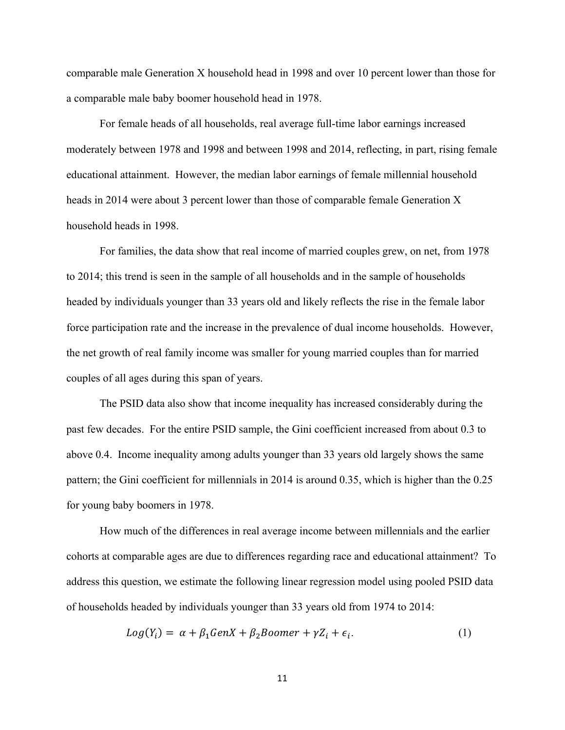comparable male Generation X household head in 1998 and over 10 percent lower than those for a comparable male baby boomer household head in 1978.

For female heads of all households, real average full-time labor earnings increased moderately between 1978 and 1998 and between 1998 and 2014, reflecting, in part, rising female educational attainment. However, the median labor earnings of female millennial household heads in 2014 were about 3 percent lower than those of comparable female Generation X household heads in 1998.

For families, the data show that real income of married couples grew, on net, from 1978 to 2014; this trend is seen in the sample of all households and in the sample of households headed by individuals younger than 33 years old and likely reflects the rise in the female labor force participation rate and the increase in the prevalence of dual income households. However, the net growth of real family income was smaller for young married couples than for married couples of all ages during this span of years.

The PSID data also show that income inequality has increased considerably during the past few decades. For the entire PSID sample, the Gini coefficient increased from about 0.3 to above 0.4. Income inequality among adults younger than 33 years old largely shows the same pattern; the Gini coefficient for millennials in 2014 is around 0.35, which is higher than the 0.25 for young baby boomers in 1978.

How much of the differences in real average income between millennials and the earlier cohorts at comparable ages are due to differences regarding race and educational attainment? To address this question, we estimate the following linear regression model using pooled PSID data of households headed by individuals younger than 33 years old from 1974 to 2014:

$$
Log(Y_i) = \alpha + \beta_1 GenX + \beta_2 Boomer + \gamma Z_i + \epsilon_i.
$$
 (1)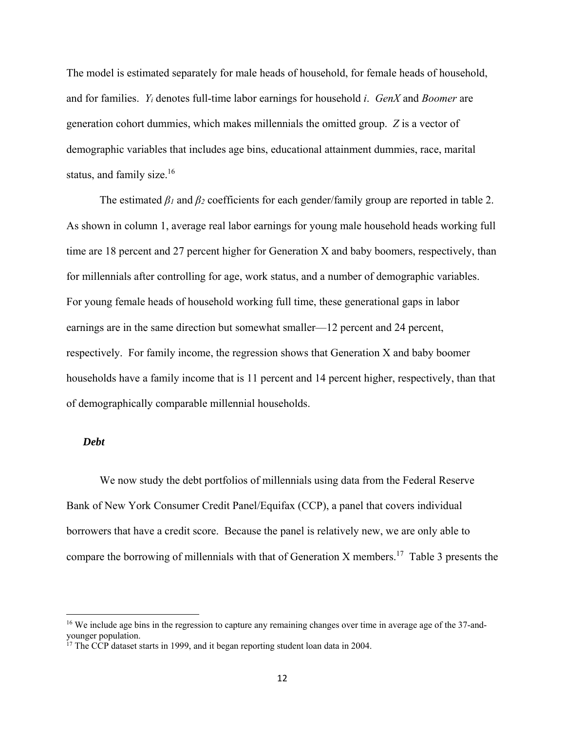The model is estimated separately for male heads of household, for female heads of household, and for families. *Yi* denotes full-time labor earnings for household *i*. *GenX* and *Boomer* are generation cohort dummies, which makes millennials the omitted group. *Z* is a vector of demographic variables that includes age bins, educational attainment dummies, race, marital status, and family size.<sup>16</sup>

The estimated *β1* and *β2* coefficients for each gender/family group are reported in table 2. As shown in column 1, average real labor earnings for young male household heads working full time are 18 percent and 27 percent higher for Generation X and baby boomers, respectively, than for millennials after controlling for age, work status, and a number of demographic variables. For young female heads of household working full time, these generational gaps in labor earnings are in the same direction but somewhat smaller—12 percent and 24 percent, respectively. For family income, the regression shows that Generation X and baby boomer households have a family income that is 11 percent and 14 percent higher, respectively, than that of demographically comparable millennial households.

## *Debt*

We now study the debt portfolios of millennials using data from the Federal Reserve Bank of New York Consumer Credit Panel/Equifax (CCP), a panel that covers individual borrowers that have a credit score. Because the panel is relatively new, we are only able to compare the borrowing of millennials with that of Generation X members.<sup>17</sup> Table 3 presents the

<sup>&</sup>lt;sup>16</sup> We include age bins in the regression to capture any remaining changes over time in average age of the 37-andyounger population.

<sup>&</sup>lt;sup>17</sup> The CCP dataset starts in 1999, and it began reporting student loan data in 2004.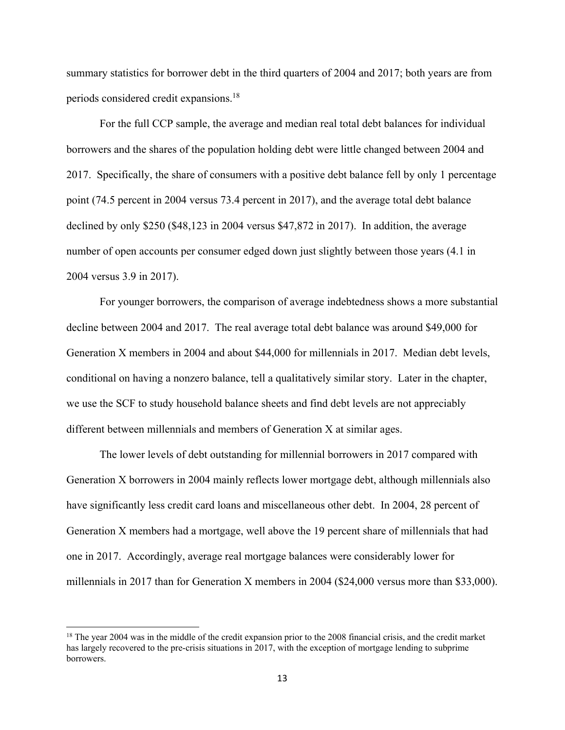summary statistics for borrower debt in the third quarters of 2004 and 2017; both years are from periods considered credit expansions.18

For the full CCP sample, the average and median real total debt balances for individual borrowers and the shares of the population holding debt were little changed between 2004 and 2017. Specifically, the share of consumers with a positive debt balance fell by only 1 percentage point (74.5 percent in 2004 versus 73.4 percent in 2017), and the average total debt balance declined by only \$250 (\$48,123 in 2004 versus \$47,872 in 2017). In addition, the average number of open accounts per consumer edged down just slightly between those years (4.1 in 2004 versus 3.9 in 2017).

For younger borrowers, the comparison of average indebtedness shows a more substantial decline between 2004 and 2017. The real average total debt balance was around \$49,000 for Generation X members in 2004 and about \$44,000 for millennials in 2017. Median debt levels, conditional on having a nonzero balance, tell a qualitatively similar story. Later in the chapter, we use the SCF to study household balance sheets and find debt levels are not appreciably different between millennials and members of Generation X at similar ages.

The lower levels of debt outstanding for millennial borrowers in 2017 compared with Generation X borrowers in 2004 mainly reflects lower mortgage debt, although millennials also have significantly less credit card loans and miscellaneous other debt. In 2004, 28 percent of Generation X members had a mortgage, well above the 19 percent share of millennials that had one in 2017. Accordingly, average real mortgage balances were considerably lower for millennials in 2017 than for Generation X members in 2004 (\$24,000 versus more than \$33,000).

 $18$  The year 2004 was in the middle of the credit expansion prior to the 2008 financial crisis, and the credit market has largely recovered to the pre-crisis situations in 2017, with the exception of mortgage lending to subprime borrowers.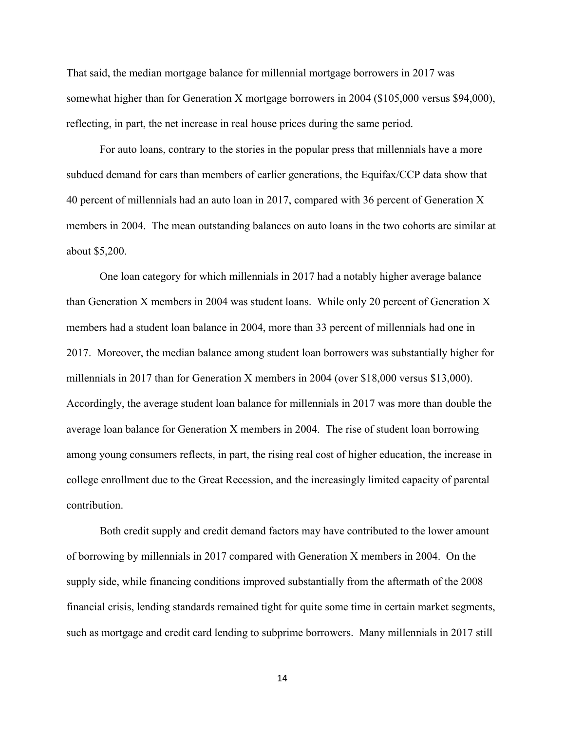That said, the median mortgage balance for millennial mortgage borrowers in 2017 was somewhat higher than for Generation X mortgage borrowers in 2004 (\$105,000 versus \$94,000), reflecting, in part, the net increase in real house prices during the same period.

For auto loans, contrary to the stories in the popular press that millennials have a more subdued demand for cars than members of earlier generations, the Equifax/CCP data show that 40 percent of millennials had an auto loan in 2017, compared with 36 percent of Generation X members in 2004. The mean outstanding balances on auto loans in the two cohorts are similar at about \$5,200.

One loan category for which millennials in 2017 had a notably higher average balance than Generation X members in 2004 was student loans. While only 20 percent of Generation X members had a student loan balance in 2004, more than 33 percent of millennials had one in 2017. Moreover, the median balance among student loan borrowers was substantially higher for millennials in 2017 than for Generation X members in 2004 (over \$18,000 versus \$13,000). Accordingly, the average student loan balance for millennials in 2017 was more than double the average loan balance for Generation X members in 2004. The rise of student loan borrowing among young consumers reflects, in part, the rising real cost of higher education, the increase in college enrollment due to the Great Recession, and the increasingly limited capacity of parental contribution.

Both credit supply and credit demand factors may have contributed to the lower amount of borrowing by millennials in 2017 compared with Generation X members in 2004. On the supply side, while financing conditions improved substantially from the aftermath of the 2008 financial crisis, lending standards remained tight for quite some time in certain market segments, such as mortgage and credit card lending to subprime borrowers. Many millennials in 2017 still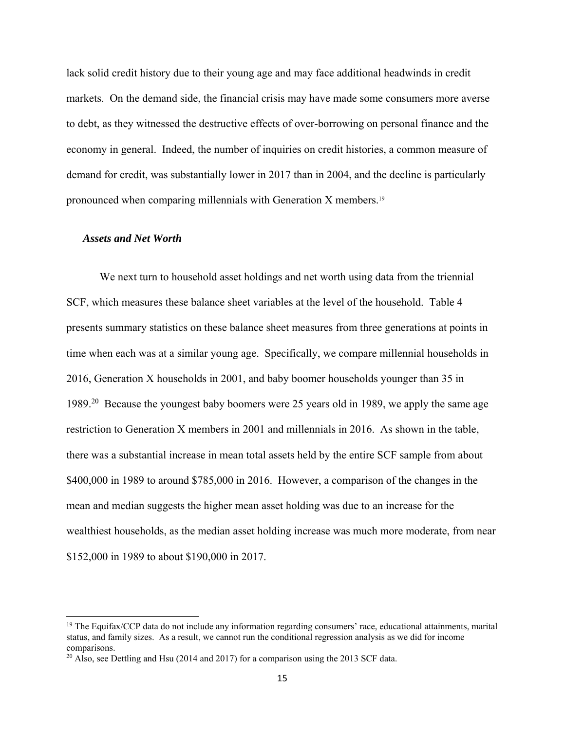lack solid credit history due to their young age and may face additional headwinds in credit markets. On the demand side, the financial crisis may have made some consumers more averse to debt, as they witnessed the destructive effects of over-borrowing on personal finance and the economy in general. Indeed, the number of inquiries on credit histories, a common measure of demand for credit, was substantially lower in 2017 than in 2004, and the decline is particularly pronounced when comparing millennials with Generation X members. 19

## *Assets and Net Worth*

We next turn to household asset holdings and net worth using data from the triennial SCF, which measures these balance sheet variables at the level of the household. Table 4 presents summary statistics on these balance sheet measures from three generations at points in time when each was at a similar young age. Specifically, we compare millennial households in 2016, Generation X households in 2001, and baby boomer households younger than 35 in 1989.<sup>20</sup> Because the youngest baby boomers were 25 years old in 1989, we apply the same age restriction to Generation X members in 2001 and millennials in 2016. As shown in the table, there was a substantial increase in mean total assets held by the entire SCF sample from about \$400,000 in 1989 to around \$785,000 in 2016. However, a comparison of the changes in the mean and median suggests the higher mean asset holding was due to an increase for the wealthiest households, as the median asset holding increase was much more moderate, from near \$152,000 in 1989 to about \$190,000 in 2017.

 $19$  The Equifax/CCP data do not include any information regarding consumers' race, educational attainments, marital status, and family sizes. As a result, we cannot run the conditional regression analysis as we did for income comparisons.

 $20$  Also, see Dettling and Hsu (2014 and 2017) for a comparison using the 2013 SCF data.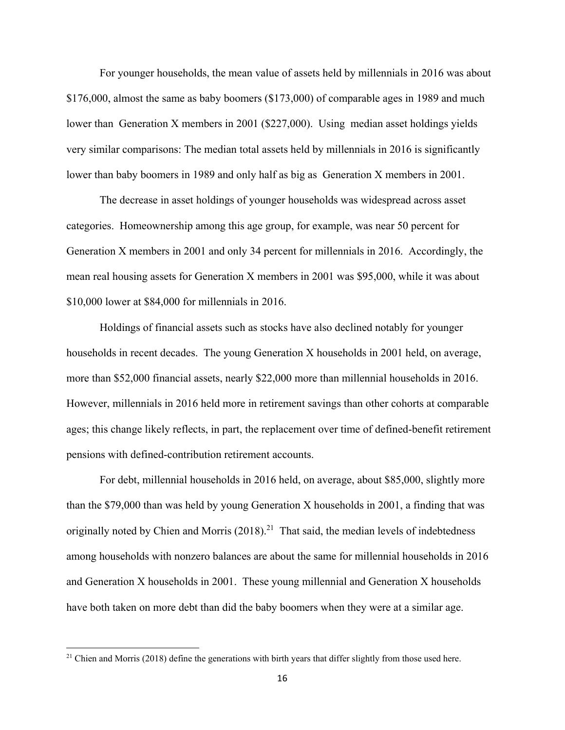For younger households, the mean value of assets held by millennials in 2016 was about \$176,000, almost the same as baby boomers (\$173,000) of comparable ages in 1989 and much lower than Generation X members in 2001 (\$227,000). Using median asset holdings yields very similar comparisons: The median total assets held by millennials in 2016 is significantly lower than baby boomers in 1989 and only half as big as Generation X members in 2001.

The decrease in asset holdings of younger households was widespread across asset categories. Homeownership among this age group, for example, was near 50 percent for Generation X members in 2001 and only 34 percent for millennials in 2016. Accordingly, the mean real housing assets for Generation X members in 2001 was \$95,000, while it was about \$10,000 lower at \$84,000 for millennials in 2016.

Holdings of financial assets such as stocks have also declined notably for younger households in recent decades. The young Generation X households in 2001 held, on average, more than \$52,000 financial assets, nearly \$22,000 more than millennial households in 2016. However, millennials in 2016 held more in retirement savings than other cohorts at comparable ages; this change likely reflects, in part, the replacement over time of defined-benefit retirement pensions with defined-contribution retirement accounts.

For debt, millennial households in 2016 held, on average, about \$85,000, slightly more than the \$79,000 than was held by young Generation X households in 2001, a finding that was originally noted by Chien and Morris  $(2018)^{21}$  That said, the median levels of indebtedness among households with nonzero balances are about the same for millennial households in 2016 and Generation X households in 2001. These young millennial and Generation X households have both taken on more debt than did the baby boomers when they were at a similar age.

<sup>&</sup>lt;sup>21</sup> Chien and Morris (2018) define the generations with birth years that differ slightly from those used here.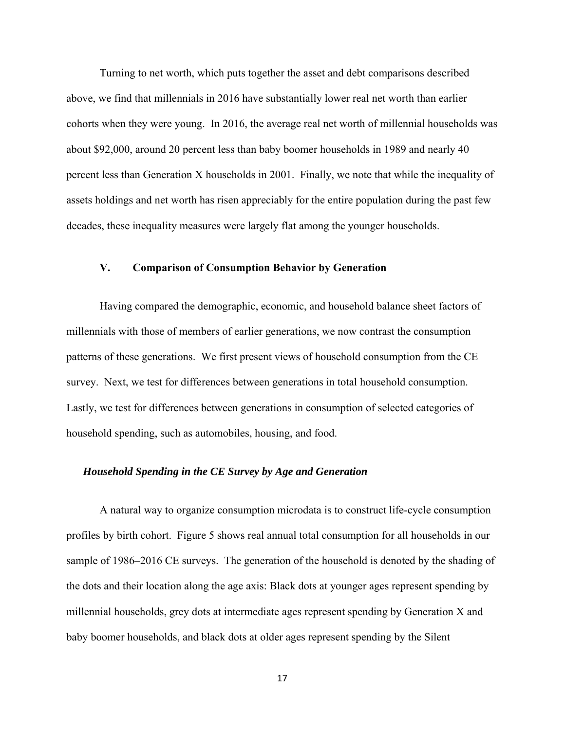Turning to net worth, which puts together the asset and debt comparisons described above, we find that millennials in 2016 have substantially lower real net worth than earlier cohorts when they were young. In 2016, the average real net worth of millennial households was about \$92,000, around 20 percent less than baby boomer households in 1989 and nearly 40 percent less than Generation X households in 2001. Finally, we note that while the inequality of assets holdings and net worth has risen appreciably for the entire population during the past few decades, these inequality measures were largely flat among the younger households.

#### **V. Comparison of Consumption Behavior by Generation**

Having compared the demographic, economic, and household balance sheet factors of millennials with those of members of earlier generations, we now contrast the consumption patterns of these generations. We first present views of household consumption from the CE survey. Next, we test for differences between generations in total household consumption. Lastly, we test for differences between generations in consumption of selected categories of household spending, such as automobiles, housing, and food.

#### *Household Spending in the CE Survey by Age and Generation*

A natural way to organize consumption microdata is to construct life-cycle consumption profiles by birth cohort. Figure 5 shows real annual total consumption for all households in our sample of 1986–2016 CE surveys. The generation of the household is denoted by the shading of the dots and their location along the age axis: Black dots at younger ages represent spending by millennial households, grey dots at intermediate ages represent spending by Generation X and baby boomer households, and black dots at older ages represent spending by the Silent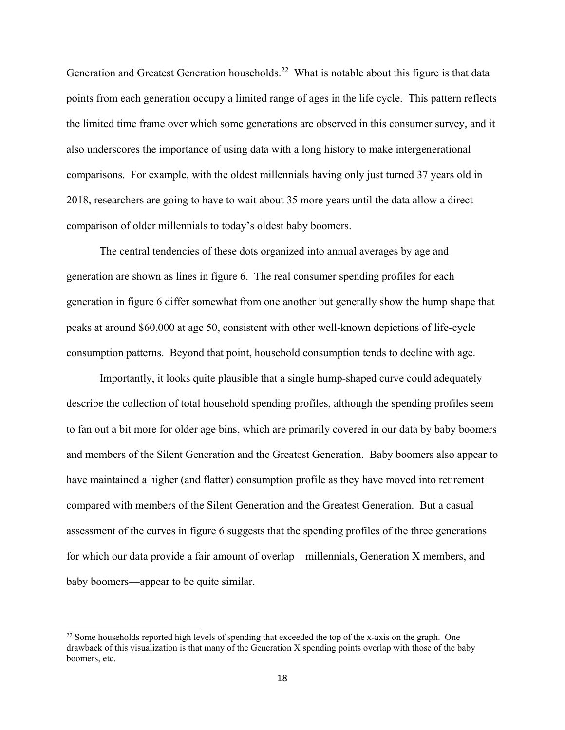Generation and Greatest Generation households.<sup>22</sup> What is notable about this figure is that data points from each generation occupy a limited range of ages in the life cycle. This pattern reflects the limited time frame over which some generations are observed in this consumer survey, and it also underscores the importance of using data with a long history to make intergenerational comparisons. For example, with the oldest millennials having only just turned 37 years old in 2018, researchers are going to have to wait about 35 more years until the data allow a direct comparison of older millennials to today's oldest baby boomers.

The central tendencies of these dots organized into annual averages by age and generation are shown as lines in figure 6. The real consumer spending profiles for each generation in figure 6 differ somewhat from one another but generally show the hump shape that peaks at around \$60,000 at age 50, consistent with other well-known depictions of life-cycle consumption patterns. Beyond that point, household consumption tends to decline with age.

Importantly, it looks quite plausible that a single hump-shaped curve could adequately describe the collection of total household spending profiles, although the spending profiles seem to fan out a bit more for older age bins, which are primarily covered in our data by baby boomers and members of the Silent Generation and the Greatest Generation. Baby boomers also appear to have maintained a higher (and flatter) consumption profile as they have moved into retirement compared with members of the Silent Generation and the Greatest Generation. But a casual assessment of the curves in figure 6 suggests that the spending profiles of the three generations for which our data provide a fair amount of overlap—millennials, Generation X members, and baby boomers—appear to be quite similar.

 $^{22}$  Some households reported high levels of spending that exceeded the top of the x-axis on the graph. One drawback of this visualization is that many of the Generation X spending points overlap with those of the baby boomers, etc.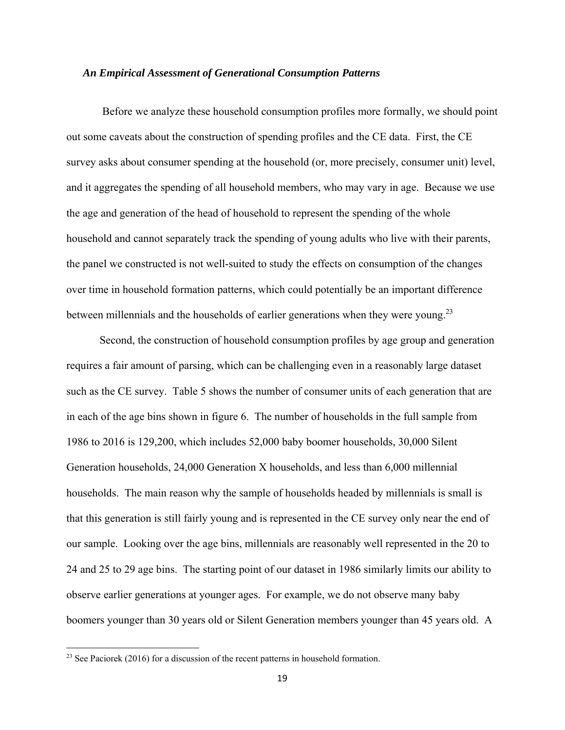#### *An Empirical Assessment of Generational Consumption Patterns*

 Before we analyze these household consumption profiles more formally, we should point out some caveats about the construction of spending profiles and the CE data. First, the CE survey asks about consumer spending at the household (or, more precisely, consumer unit) level, and it aggregates the spending of all household members, who may vary in age. Because we use the age and generation of the head of household to represent the spending of the whole household and cannot separately track the spending of young adults who live with their parents, the panel we constructed is not well-suited to study the effects on consumption of the changes over time in household formation patterns, which could potentially be an important difference between millennials and the households of earlier generations when they were young.<sup>23</sup>

Second, the construction of household consumption profiles by age group and generation requires a fair amount of parsing, which can be challenging even in a reasonably large dataset such as the CE survey. Table 5 shows the number of consumer units of each generation that are in each of the age bins shown in figure 6. The number of households in the full sample from 1986 to 2016 is 129,200, which includes 52,000 baby boomer households, 30,000 Silent Generation households, 24,000 Generation X households, and less than 6,000 millennial households. The main reason why the sample of households headed by millennials is small is that this generation is still fairly young and is represented in the CE survey only near the end of our sample. Looking over the age bins, millennials are reasonably well represented in the 20 to 24 and 25 to 29 age bins. The starting point of our dataset in 1986 similarly limits our ability to observe earlier generations at younger ages. For example, we do not observe many baby boomers younger than 30 years old or Silent Generation members younger than 45 years old. A

 $23$  See Paciorek (2016) for a discussion of the recent patterns in household formation.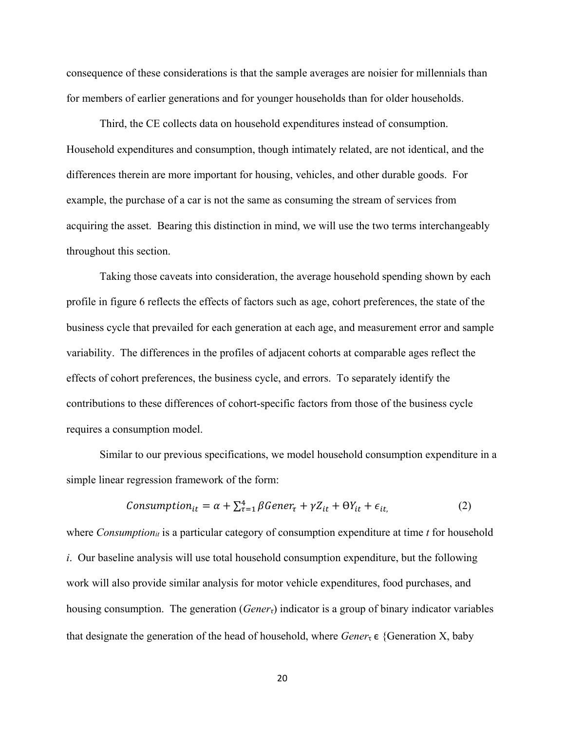consequence of these considerations is that the sample averages are noisier for millennials than for members of earlier generations and for younger households than for older households.

Third, the CE collects data on household expenditures instead of consumption. Household expenditures and consumption, though intimately related, are not identical, and the differences therein are more important for housing, vehicles, and other durable goods. For example, the purchase of a car is not the same as consuming the stream of services from acquiring the asset. Bearing this distinction in mind, we will use the two terms interchangeably throughout this section.

Taking those caveats into consideration, the average household spending shown by each profile in figure 6 reflects the effects of factors such as age, cohort preferences, the state of the business cycle that prevailed for each generation at each age, and measurement error and sample variability. The differences in the profiles of adjacent cohorts at comparable ages reflect the effects of cohort preferences, the business cycle, and errors. To separately identify the contributions to these differences of cohort-specific factors from those of the business cycle requires a consumption model.

Similar to our previous specifications, we model household consumption expenditure in a simple linear regression framework of the form:

$$
Consumption_{it} = \alpha + \sum_{\tau=1}^{4} \beta Gener_{\tau} + \gamma Z_{it} + \Theta Y_{it} + \epsilon_{it},
$$
\n(2)

where *Consumptionit* is a particular category of consumption expenditure at time *t* for household *i*. Our baseline analysis will use total household consumption expenditure, but the following work will also provide similar analysis for motor vehicle expenditures, food purchases, and housing consumption. The generation (*Generτ*) indicator is a group of binary indicator variables that designate the generation of the head of household, where *Gener*τ є {Generation X, baby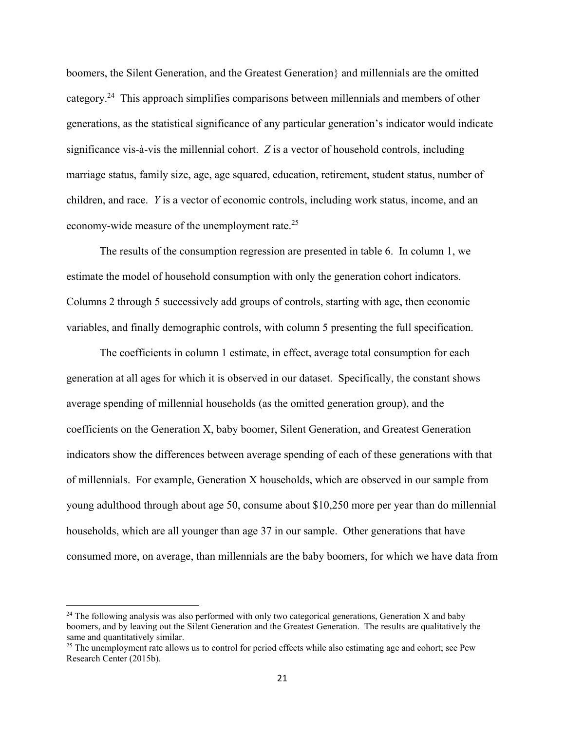boomers, the Silent Generation, and the Greatest Generation} and millennials are the omitted category.24 This approach simplifies comparisons between millennials and members of other generations, as the statistical significance of any particular generation's indicator would indicate significance vis-à-vis the millennial cohort. *Z* is a vector of household controls, including marriage status, family size, age, age squared, education, retirement, student status, number of children, and race. *Y* is a vector of economic controls, including work status, income, and an economy-wide measure of the unemployment rate.<sup>25</sup>

The results of the consumption regression are presented in table 6. In column 1, we estimate the model of household consumption with only the generation cohort indicators. Columns 2 through 5 successively add groups of controls, starting with age, then economic variables, and finally demographic controls, with column 5 presenting the full specification.

The coefficients in column 1 estimate, in effect, average total consumption for each generation at all ages for which it is observed in our dataset. Specifically, the constant shows average spending of millennial households (as the omitted generation group), and the coefficients on the Generation X, baby boomer, Silent Generation, and Greatest Generation indicators show the differences between average spending of each of these generations with that of millennials. For example, Generation X households, which are observed in our sample from young adulthood through about age 50, consume about \$10,250 more per year than do millennial households, which are all younger than age 37 in our sample. Other generations that have consumed more, on average, than millennials are the baby boomers, for which we have data from

 $24$  The following analysis was also performed with only two categorical generations, Generation X and baby boomers, and by leaving out the Silent Generation and the Greatest Generation. The results are qualitatively the same and quantitatively similar.

<sup>&</sup>lt;sup>25</sup> The unemployment rate allows us to control for period effects while also estimating age and cohort; see Pew Research Center (2015b).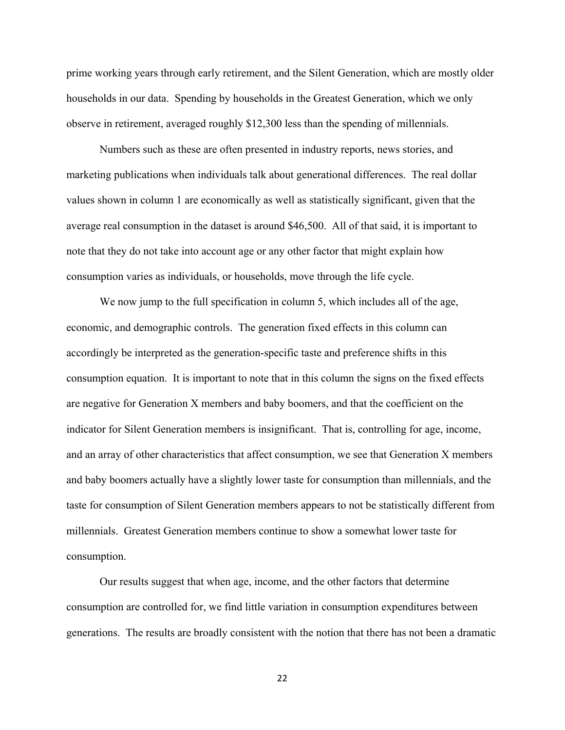prime working years through early retirement, and the Silent Generation, which are mostly older households in our data. Spending by households in the Greatest Generation, which we only observe in retirement, averaged roughly \$12,300 less than the spending of millennials.

Numbers such as these are often presented in industry reports, news stories, and marketing publications when individuals talk about generational differences. The real dollar values shown in column 1 are economically as well as statistically significant, given that the average real consumption in the dataset is around \$46,500. All of that said, it is important to note that they do not take into account age or any other factor that might explain how consumption varies as individuals, or households, move through the life cycle.

We now jump to the full specification in column 5, which includes all of the age, economic, and demographic controls. The generation fixed effects in this column can accordingly be interpreted as the generation-specific taste and preference shifts in this consumption equation. It is important to note that in this column the signs on the fixed effects are negative for Generation X members and baby boomers, and that the coefficient on the indicator for Silent Generation members is insignificant. That is, controlling for age, income, and an array of other characteristics that affect consumption, we see that Generation X members and baby boomers actually have a slightly lower taste for consumption than millennials, and the taste for consumption of Silent Generation members appears to not be statistically different from millennials. Greatest Generation members continue to show a somewhat lower taste for consumption.

Our results suggest that when age, income, and the other factors that determine consumption are controlled for, we find little variation in consumption expenditures between generations. The results are broadly consistent with the notion that there has not been a dramatic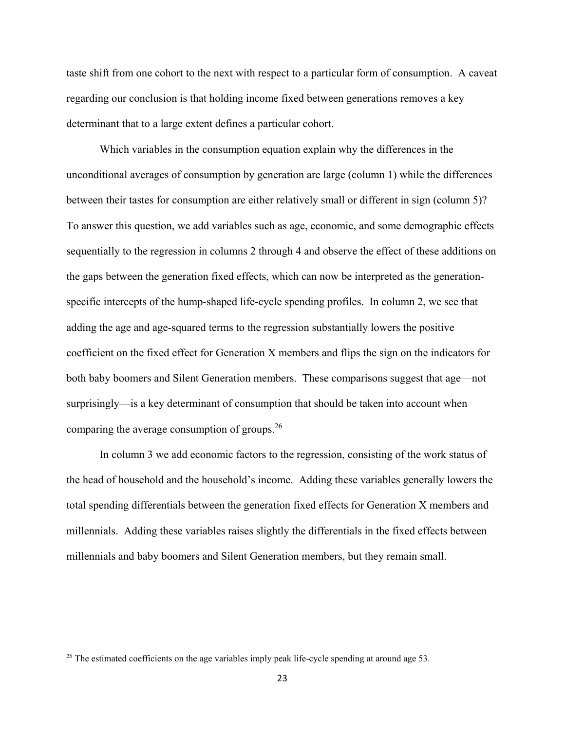taste shift from one cohort to the next with respect to a particular form of consumption. A caveat regarding our conclusion is that holding income fixed between generations removes a key determinant that to a large extent defines a particular cohort.

Which variables in the consumption equation explain why the differences in the unconditional averages of consumption by generation are large (column 1) while the differences between their tastes for consumption are either relatively small or different in sign (column 5)? To answer this question, we add variables such as age, economic, and some demographic effects sequentially to the regression in columns 2 through 4 and observe the effect of these additions on the gaps between the generation fixed effects, which can now be interpreted as the generationspecific intercepts of the hump-shaped life-cycle spending profiles. In column 2, we see that adding the age and age-squared terms to the regression substantially lowers the positive coefficient on the fixed effect for Generation X members and flips the sign on the indicators for both baby boomers and Silent Generation members. These comparisons suggest that age—not surprisingly—is a key determinant of consumption that should be taken into account when comparing the average consumption of groups.26

In column 3 we add economic factors to the regression, consisting of the work status of the head of household and the household's income. Adding these variables generally lowers the total spending differentials between the generation fixed effects for Generation X members and millennials. Adding these variables raises slightly the differentials in the fixed effects between millennials and baby boomers and Silent Generation members, but they remain small.

<sup>&</sup>lt;sup>26</sup> The estimated coefficients on the age variables imply peak life-cycle spending at around age 53.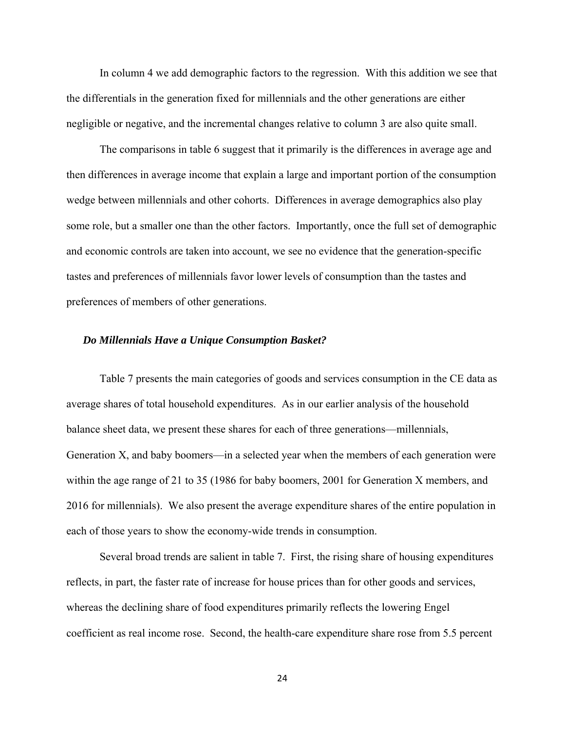In column 4 we add demographic factors to the regression. With this addition we see that the differentials in the generation fixed for millennials and the other generations are either negligible or negative, and the incremental changes relative to column 3 are also quite small.

The comparisons in table 6 suggest that it primarily is the differences in average age and then differences in average income that explain a large and important portion of the consumption wedge between millennials and other cohorts. Differences in average demographics also play some role, but a smaller one than the other factors. Importantly, once the full set of demographic and economic controls are taken into account, we see no evidence that the generation-specific tastes and preferences of millennials favor lower levels of consumption than the tastes and preferences of members of other generations.

#### *Do Millennials Have a Unique Consumption Basket?*

Table 7 presents the main categories of goods and services consumption in the CE data as average shares of total household expenditures. As in our earlier analysis of the household balance sheet data, we present these shares for each of three generations—millennials, Generation X, and baby boomers—in a selected year when the members of each generation were within the age range of 21 to 35 (1986 for baby boomers, 2001 for Generation X members, and 2016 for millennials). We also present the average expenditure shares of the entire population in each of those years to show the economy-wide trends in consumption.

Several broad trends are salient in table 7. First, the rising share of housing expenditures reflects, in part, the faster rate of increase for house prices than for other goods and services, whereas the declining share of food expenditures primarily reflects the lowering Engel coefficient as real income rose. Second, the health-care expenditure share rose from 5.5 percent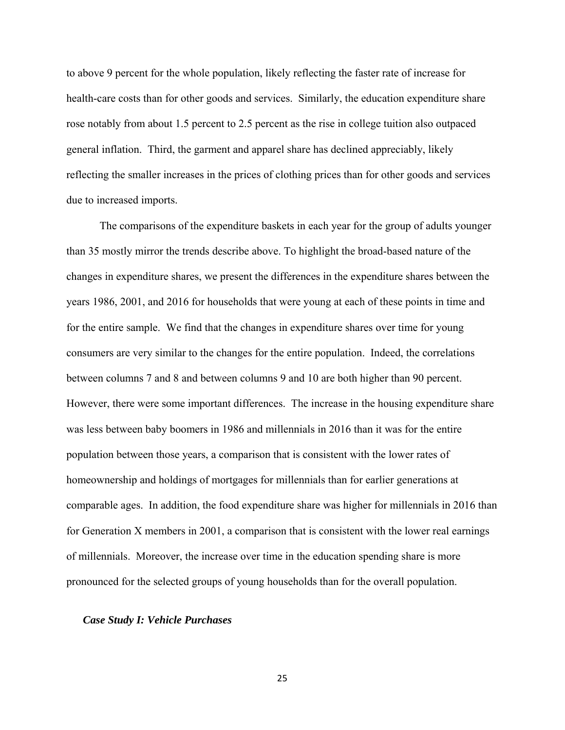to above 9 percent for the whole population, likely reflecting the faster rate of increase for health-care costs than for other goods and services. Similarly, the education expenditure share rose notably from about 1.5 percent to 2.5 percent as the rise in college tuition also outpaced general inflation. Third, the garment and apparel share has declined appreciably, likely reflecting the smaller increases in the prices of clothing prices than for other goods and services due to increased imports.

The comparisons of the expenditure baskets in each year for the group of adults younger than 35 mostly mirror the trends describe above. To highlight the broad-based nature of the changes in expenditure shares, we present the differences in the expenditure shares between the years 1986, 2001, and 2016 for households that were young at each of these points in time and for the entire sample. We find that the changes in expenditure shares over time for young consumers are very similar to the changes for the entire population. Indeed, the correlations between columns 7 and 8 and between columns 9 and 10 are both higher than 90 percent. However, there were some important differences. The increase in the housing expenditure share was less between baby boomers in 1986 and millennials in 2016 than it was for the entire population between those years, a comparison that is consistent with the lower rates of homeownership and holdings of mortgages for millennials than for earlier generations at comparable ages. In addition, the food expenditure share was higher for millennials in 2016 than for Generation X members in 2001, a comparison that is consistent with the lower real earnings of millennials. Moreover, the increase over time in the education spending share is more pronounced for the selected groups of young households than for the overall population.

#### *Case Study I: Vehicle Purchases*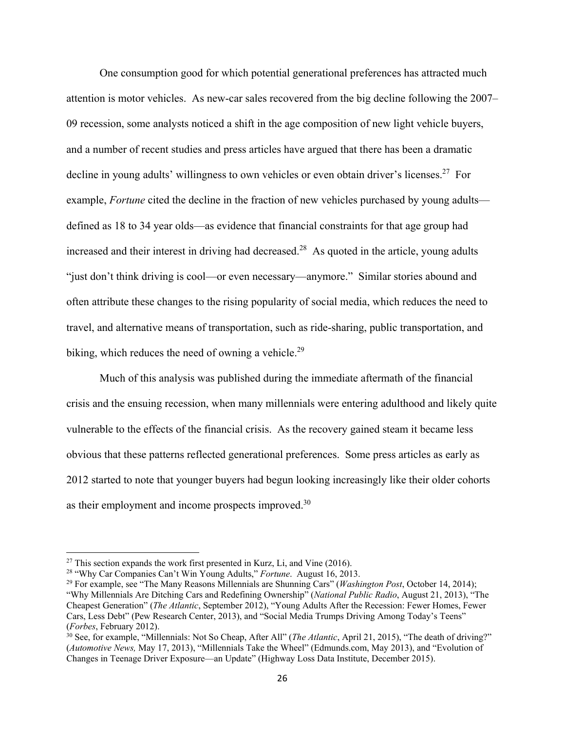One consumption good for which potential generational preferences has attracted much attention is motor vehicles. As new-car sales recovered from the big decline following the 2007– 09 recession, some analysts noticed a shift in the age composition of new light vehicle buyers, and a number of recent studies and press articles have argued that there has been a dramatic decline in young adults' willingness to own vehicles or even obtain driver's licenses.<sup>27</sup> For example, *Fortune* cited the decline in the fraction of new vehicles purchased by young adults defined as 18 to 34 year olds—as evidence that financial constraints for that age group had increased and their interest in driving had decreased.<sup>28</sup> As quoted in the article, young adults "just don't think driving is cool—or even necessary—anymore." Similar stories abound and often attribute these changes to the rising popularity of social media, which reduces the need to travel, and alternative means of transportation, such as ride-sharing, public transportation, and biking, which reduces the need of owning a vehicle.<sup>29</sup>

Much of this analysis was published during the immediate aftermath of the financial crisis and the ensuing recession, when many millennials were entering adulthood and likely quite vulnerable to the effects of the financial crisis. As the recovery gained steam it became less obvious that these patterns reflected generational preferences. Some press articles as early as 2012 started to note that younger buyers had begun looking increasingly like their older cohorts as their employment and income prospects improved.30

 $27$  This section expands the work first presented in Kurz, Li, and Vine (2016).

<sup>28 &</sup>quot;Why Car Companies Can't Win Young Adults," *Fortune*. August 16, 2013.

<sup>29</sup> For example, see "The Many Reasons Millennials are Shunning Cars" (*Washington Post*, October 14, 2014); "Why Millennials Are Ditching Cars and Redefining Ownership" (*National Public Radio*, August 21, 2013), "The Cheapest Generation" (*The Atlantic*, September 2012), "Young Adults After the Recession: Fewer Homes, Fewer Cars, Less Debt" (Pew Research Center, 2013), and "Social Media Trumps Driving Among Today's Teens" (*Forbes*, February 2012).

<sup>30</sup> See, for example, "Millennials: Not So Cheap, After All" (*The Atlantic*, April 21, 2015), "The death of driving?" (*Automotive News,* May 17, 2013), "Millennials Take the Wheel" (Edmunds.com, May 2013), and "Evolution of Changes in Teenage Driver Exposure—an Update" (Highway Loss Data Institute, December 2015).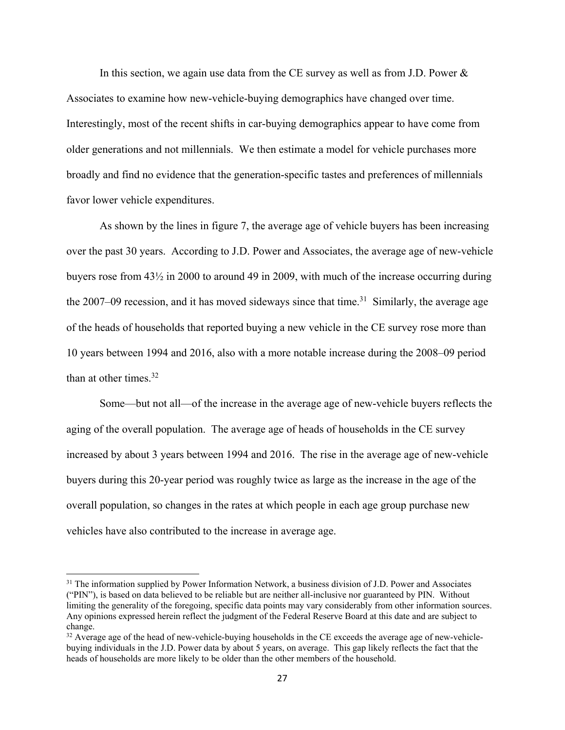In this section, we again use data from the CE survey as well as from J.D. Power  $\&$ Associates to examine how new-vehicle-buying demographics have changed over time. Interestingly, most of the recent shifts in car-buying demographics appear to have come from older generations and not millennials. We then estimate a model for vehicle purchases more broadly and find no evidence that the generation-specific tastes and preferences of millennials favor lower vehicle expenditures.

As shown by the lines in figure 7, the average age of vehicle buyers has been increasing over the past 30 years. According to J.D. Power and Associates, the average age of new-vehicle buyers rose from 43½ in 2000 to around 49 in 2009, with much of the increase occurring during the  $2007-09$  recession, and it has moved sideways since that time.<sup>31</sup> Similarly, the average age of the heads of households that reported buying a new vehicle in the CE survey rose more than 10 years between 1994 and 2016, also with a more notable increase during the 2008–09 period than at other times.<sup>32</sup>

Some—but not all—of the increase in the average age of new-vehicle buyers reflects the aging of the overall population. The average age of heads of households in the CE survey increased by about 3 years between 1994 and 2016. The rise in the average age of new-vehicle buyers during this 20-year period was roughly twice as large as the increase in the age of the overall population, so changes in the rates at which people in each age group purchase new vehicles have also contributed to the increase in average age.

<sup>&</sup>lt;sup>31</sup> The information supplied by Power Information Network, a business division of J.D. Power and Associates ("PIN"), is based on data believed to be reliable but are neither all-inclusive nor guaranteed by PIN. Without limiting the generality of the foregoing, specific data points may vary considerably from other information sources. Any opinions expressed herein reflect the judgment of the Federal Reserve Board at this date and are subject to change.

<sup>&</sup>lt;sup>32</sup> Average age of the head of new-vehicle-buying households in the CE exceeds the average age of new-vehiclebuying individuals in the J.D. Power data by about 5 years, on average. This gap likely reflects the fact that the heads of households are more likely to be older than the other members of the household.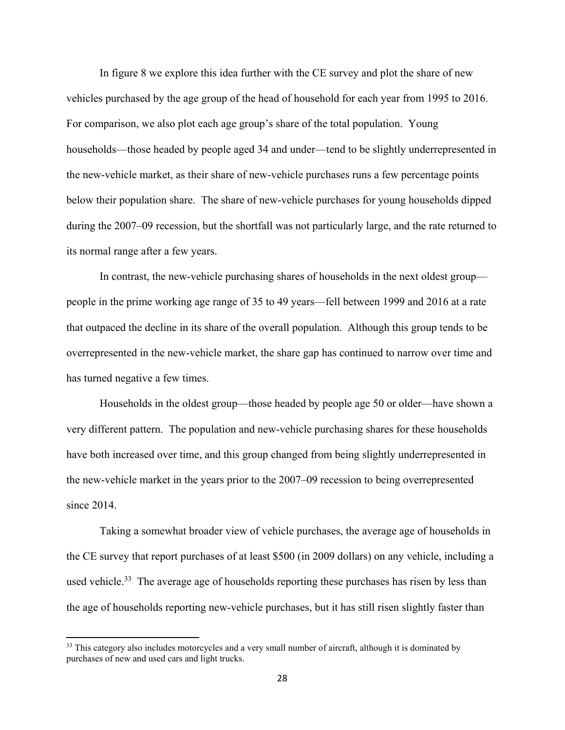In figure 8 we explore this idea further with the CE survey and plot the share of new vehicles purchased by the age group of the head of household for each year from 1995 to 2016. For comparison, we also plot each age group's share of the total population. Young households—those headed by people aged 34 and under—tend to be slightly underrepresented in the new-vehicle market, as their share of new-vehicle purchases runs a few percentage points below their population share. The share of new-vehicle purchases for young households dipped during the 2007–09 recession, but the shortfall was not particularly large, and the rate returned to its normal range after a few years.

In contrast, the new-vehicle purchasing shares of households in the next oldest group people in the prime working age range of 35 to 49 years—fell between 1999 and 2016 at a rate that outpaced the decline in its share of the overall population. Although this group tends to be overrepresented in the new-vehicle market, the share gap has continued to narrow over time and has turned negative a few times.

Households in the oldest group—those headed by people age 50 or older—have shown a very different pattern. The population and new-vehicle purchasing shares for these households have both increased over time, and this group changed from being slightly underrepresented in the new-vehicle market in the years prior to the 2007–09 recession to being overrepresented since 2014.

Taking a somewhat broader view of vehicle purchases, the average age of households in the CE survey that report purchases of at least \$500 (in 2009 dollars) on any vehicle, including a used vehicle.<sup>33</sup> The average age of households reporting these purchases has risen by less than the age of households reporting new-vehicle purchases, but it has still risen slightly faster than

<sup>&</sup>lt;sup>33</sup> This category also includes motorcycles and a very small number of aircraft, although it is dominated by purchases of new and used cars and light trucks.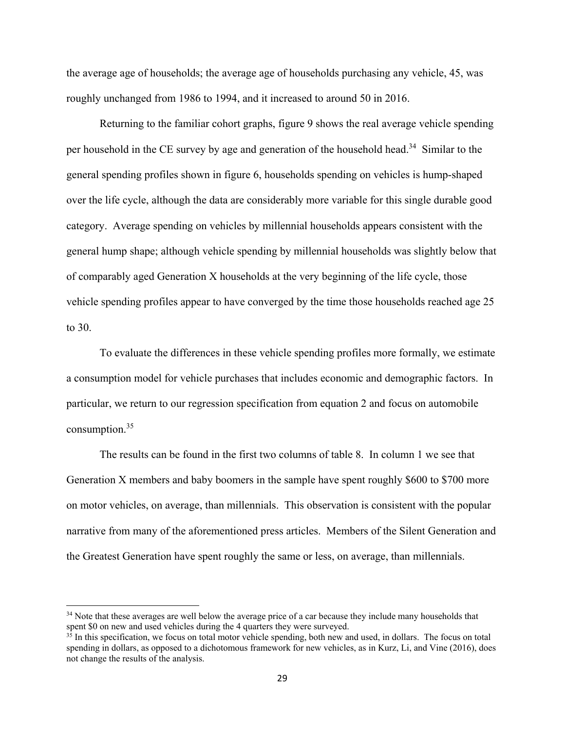the average age of households; the average age of households purchasing any vehicle, 45, was roughly unchanged from 1986 to 1994, and it increased to around 50 in 2016.

Returning to the familiar cohort graphs, figure 9 shows the real average vehicle spending per household in the CE survey by age and generation of the household head.<sup>34</sup> Similar to the general spending profiles shown in figure 6, households spending on vehicles is hump-shaped over the life cycle, although the data are considerably more variable for this single durable good category. Average spending on vehicles by millennial households appears consistent with the general hump shape; although vehicle spending by millennial households was slightly below that of comparably aged Generation X households at the very beginning of the life cycle, those vehicle spending profiles appear to have converged by the time those households reached age 25 to 30.

To evaluate the differences in these vehicle spending profiles more formally, we estimate a consumption model for vehicle purchases that includes economic and demographic factors. In particular, we return to our regression specification from equation 2 and focus on automobile consumption.35

The results can be found in the first two columns of table 8. In column 1 we see that Generation X members and baby boomers in the sample have spent roughly \$600 to \$700 more on motor vehicles, on average, than millennials. This observation is consistent with the popular narrative from many of the aforementioned press articles. Members of the Silent Generation and the Greatest Generation have spent roughly the same or less, on average, than millennials.

<sup>&</sup>lt;sup>34</sup> Note that these averages are well below the average price of a car because they include many households that spent \$0 on new and used vehicles during the 4 quarters they were surveyed.

 $35$  In this specification, we focus on total motor vehicle spending, both new and used, in dollars. The focus on total spending in dollars, as opposed to a dichotomous framework for new vehicles, as in Kurz, Li, and Vine (2016), does not change the results of the analysis.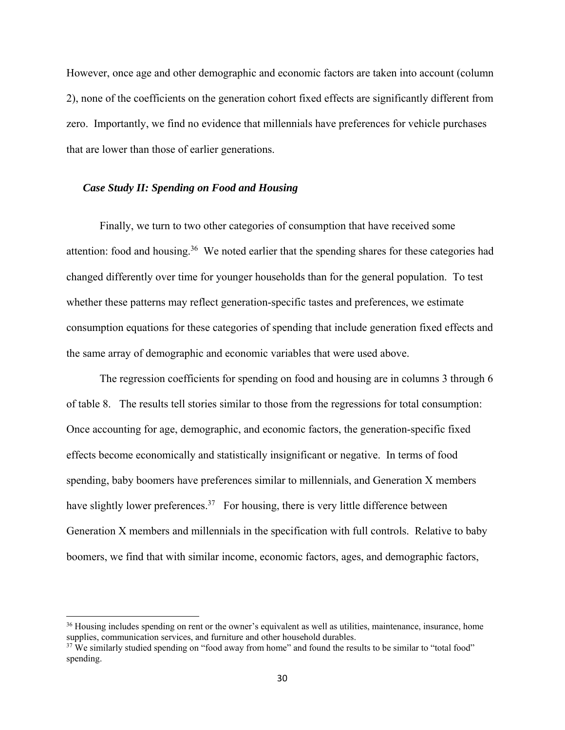However, once age and other demographic and economic factors are taken into account (column 2), none of the coefficients on the generation cohort fixed effects are significantly different from zero. Importantly, we find no evidence that millennials have preferences for vehicle purchases that are lower than those of earlier generations.

#### *Case Study II: Spending on Food and Housing*

 Finally, we turn to two other categories of consumption that have received some attention: food and housing.<sup>36</sup> We noted earlier that the spending shares for these categories had changed differently over time for younger households than for the general population. To test whether these patterns may reflect generation-specific tastes and preferences, we estimate consumption equations for these categories of spending that include generation fixed effects and the same array of demographic and economic variables that were used above.

 The regression coefficients for spending on food and housing are in columns 3 through 6 of table 8. The results tell stories similar to those from the regressions for total consumption: Once accounting for age, demographic, and economic factors, the generation-specific fixed effects become economically and statistically insignificant or negative. In terms of food spending, baby boomers have preferences similar to millennials, and Generation X members have slightly lower preferences.<sup>37</sup> For housing, there is very little difference between Generation X members and millennials in the specification with full controls. Relative to baby boomers, we find that with similar income, economic factors, ages, and demographic factors,

<sup>&</sup>lt;sup>36</sup> Housing includes spending on rent or the owner's equivalent as well as utilities, maintenance, insurance, home supplies, communication services, and furniture and other household durables.

<sup>&</sup>lt;sup>37</sup> We similarly studied spending on "food away from home" and found the results to be similar to "total food" spending.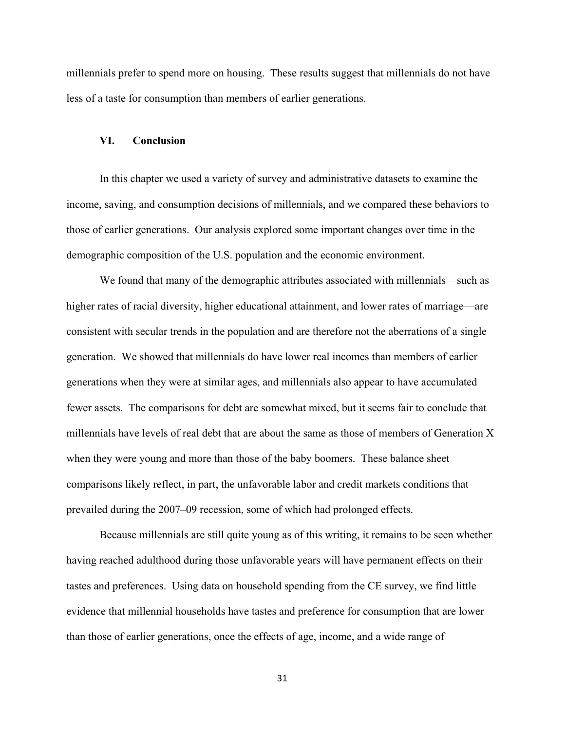millennials prefer to spend more on housing. These results suggest that millennials do not have less of a taste for consumption than members of earlier generations.

#### **VI. Conclusion**

In this chapter we used a variety of survey and administrative datasets to examine the income, saving, and consumption decisions of millennials, and we compared these behaviors to those of earlier generations. Our analysis explored some important changes over time in the demographic composition of the U.S. population and the economic environment.

We found that many of the demographic attributes associated with millennials—such as higher rates of racial diversity, higher educational attainment, and lower rates of marriage—are consistent with secular trends in the population and are therefore not the aberrations of a single generation. We showed that millennials do have lower real incomes than members of earlier generations when they were at similar ages, and millennials also appear to have accumulated fewer assets. The comparisons for debt are somewhat mixed, but it seems fair to conclude that millennials have levels of real debt that are about the same as those of members of Generation X when they were young and more than those of the baby boomers. These balance sheet comparisons likely reflect, in part, the unfavorable labor and credit markets conditions that prevailed during the 2007–09 recession, some of which had prolonged effects.

Because millennials are still quite young as of this writing, it remains to be seen whether having reached adulthood during those unfavorable years will have permanent effects on their tastes and preferences. Using data on household spending from the CE survey, we find little evidence that millennial households have tastes and preference for consumption that are lower than those of earlier generations, once the effects of age, income, and a wide range of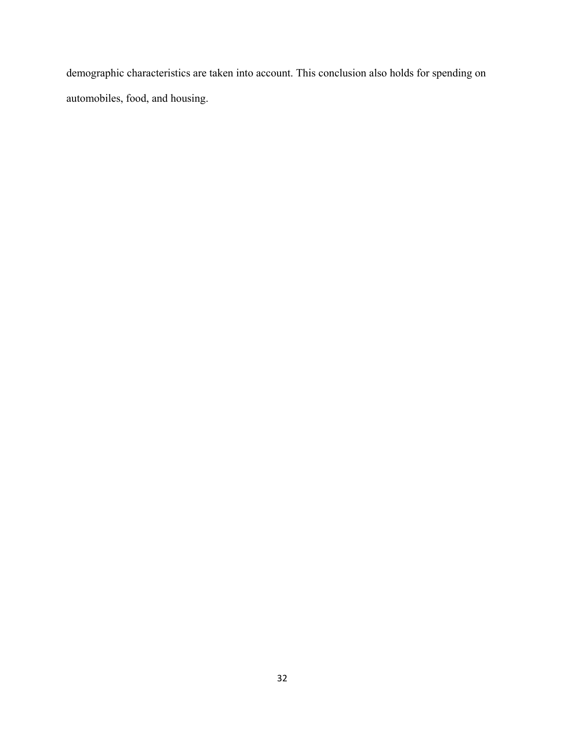demographic characteristics are taken into account. This conclusion also holds for spending on automobiles, food, and housing.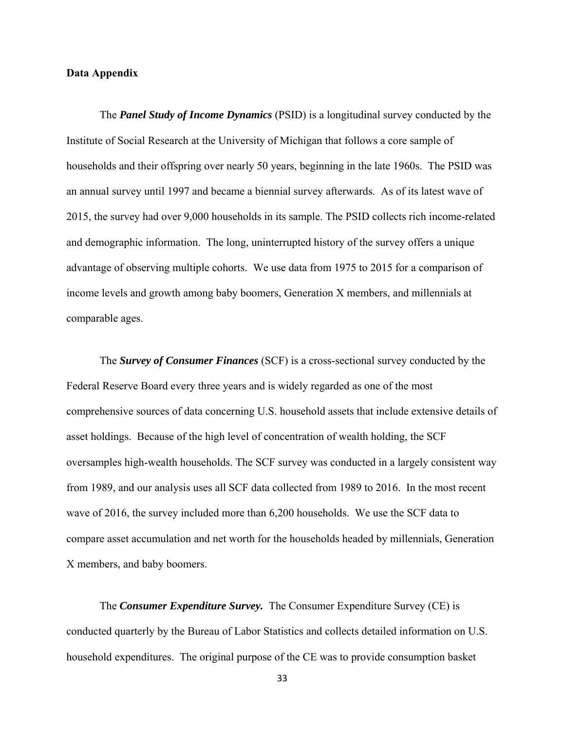#### **Data Appendix**

The *Panel Study of Income Dynamics* (PSID) is a longitudinal survey conducted by the Institute of Social Research at the University of Michigan that follows a core sample of households and their offspring over nearly 50 years, beginning in the late 1960s. The PSID was an annual survey until 1997 and became a biennial survey afterwards. As of its latest wave of 2015, the survey had over 9,000 households in its sample. The PSID collects rich income-related and demographic information. The long, uninterrupted history of the survey offers a unique advantage of observing multiple cohorts. We use data from 1975 to 2015 for a comparison of income levels and growth among baby boomers, Generation X members, and millennials at comparable ages.

The *Survey of Consumer Finances* (SCF) is a cross-sectional survey conducted by the Federal Reserve Board every three years and is widely regarded as one of the most comprehensive sources of data concerning U.S. household assets that include extensive details of asset holdings. Because of the high level of concentration of wealth holding, the SCF oversamples high-wealth households. The SCF survey was conducted in a largely consistent way from 1989, and our analysis uses all SCF data collected from 1989 to 2016. In the most recent wave of 2016, the survey included more than 6,200 households. We use the SCF data to compare asset accumulation and net worth for the households headed by millennials, Generation X members, and baby boomers.

The *Consumer Expenditure Survey.* The Consumer Expenditure Survey (CE) is conducted quarterly by the Bureau of Labor Statistics and collects detailed information on U.S. household expenditures. The original purpose of the CE was to provide consumption basket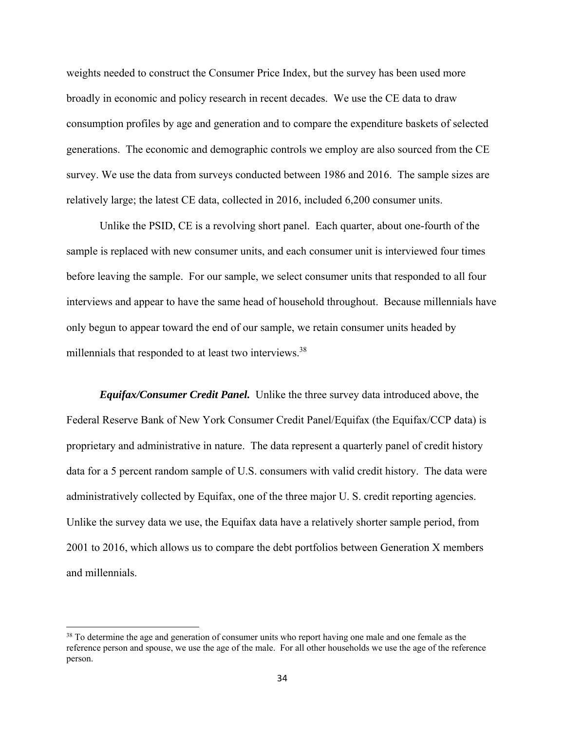weights needed to construct the Consumer Price Index, but the survey has been used more broadly in economic and policy research in recent decades. We use the CE data to draw consumption profiles by age and generation and to compare the expenditure baskets of selected generations. The economic and demographic controls we employ are also sourced from the CE survey. We use the data from surveys conducted between 1986 and 2016. The sample sizes are relatively large; the latest CE data, collected in 2016, included 6,200 consumer units.

Unlike the PSID, CE is a revolving short panel. Each quarter, about one-fourth of the sample is replaced with new consumer units, and each consumer unit is interviewed four times before leaving the sample. For our sample, we select consumer units that responded to all four interviews and appear to have the same head of household throughout. Because millennials have only begun to appear toward the end of our sample, we retain consumer units headed by millennials that responded to at least two interviews.<sup>38</sup>

*Equifax/Consumer Credit Panel.* Unlike the three survey data introduced above, the Federal Reserve Bank of New York Consumer Credit Panel/Equifax (the Equifax/CCP data) is proprietary and administrative in nature. The data represent a quarterly panel of credit history data for a 5 percent random sample of U.S. consumers with valid credit history. The data were administratively collected by Equifax, one of the three major U. S. credit reporting agencies. Unlike the survey data we use, the Equifax data have a relatively shorter sample period, from 2001 to 2016, which allows us to compare the debt portfolios between Generation X members and millennials.

<sup>38</sup> To determine the age and generation of consumer units who report having one male and one female as the reference person and spouse, we use the age of the male. For all other households we use the age of the reference person.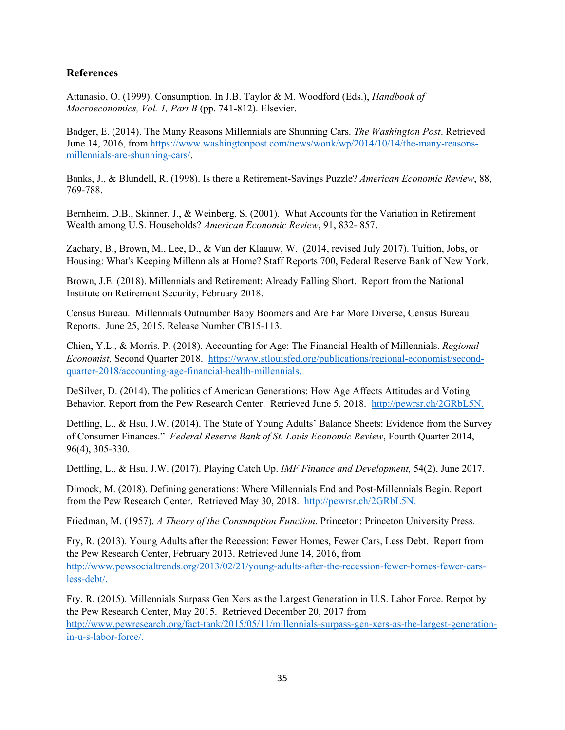## **References**

Attanasio, O. (1999). Consumption. In J.B. Taylor & M. Woodford (Eds.), *Handbook of Macroeconomics, Vol. 1, Part B* (pp. 741-812). Elsevier.

Badger, E. (2014). The Many Reasons Millennials are Shunning Cars. *The Washington Post*. Retrieved June 14, 2016, from https://www.washingtonpost.com/news/wonk/wp/2014/10/14/the-many-reasonsmillennials-are-shunning-cars/.

Banks, J., & Blundell, R. (1998). Is there a Retirement-Savings Puzzle? *American Economic Review*, 88, 769-788.

Bernheim, D.B., Skinner, J., & Weinberg, S. (2001). What Accounts for the Variation in Retirement Wealth among U.S. Households? *American Economic Review*, 91, 832- 857.

Zachary, B., Brown, M., Lee, D., & Van der Klaauw, W. (2014, revised July 2017). Tuition, Jobs, or Housing: What's Keeping Millennials at Home? Staff Reports 700, Federal Reserve Bank of New York.

Brown, J.E. (2018). Millennials and Retirement: Already Falling Short. Report from the National Institute on Retirement Security, February 2018.

Census Bureau. Millennials Outnumber Baby Boomers and Are Far More Diverse, Census Bureau Reports. June 25, 2015, Release Number CB15-113.

Chien, Y.L., & Morris, P. (2018). Accounting for Age: The Financial Health of Millennials. *Regional Economist,* Second Quarter 2018. https://www.stlouisfed.org/publications/regional-economist/secondquarter-2018/accounting-age-financial-health-millennials.

DeSilver, D. (2014). The politics of American Generations: How Age Affects Attitudes and Voting Behavior. Report from the Pew Research Center. Retrieved June 5, 2018. http://pewrsr.ch/2GRbL5N.

Dettling, L., & Hsu, J.W. (2014). The State of Young Adults' Balance Sheets: Evidence from the Survey of Consumer Finances." *Federal Reserve Bank of St. Louis Economic Review*, Fourth Quarter 2014, 96(4), 305-330.

Dettling, L., & Hsu, J.W. (2017). Playing Catch Up. *IMF Finance and Development,* 54(2), June 2017.

Dimock, M. (2018). Defining generations: Where Millennials End and Post-Millennials Begin. Report from the Pew Research Center. Retrieved May 30, 2018. http://pewrsr.ch/2GRbL5N.

Friedman, M. (1957). *A Theory of the Consumption Function*. Princeton: Princeton University Press.

Fry, R. (2013). Young Adults after the Recession: Fewer Homes, Fewer Cars, Less Debt. Report from the Pew Research Center, February 2013. Retrieved June 14, 2016, from http://www.pewsocialtrends.org/2013/02/21/young-adults-after-the-recession-fewer-homes-fewer-carsless-debt/.

Fry, R. (2015). Millennials Surpass Gen Xers as the Largest Generation in U.S. Labor Force. Rerpot by the Pew Research Center, May 2015. Retrieved December 20, 2017 from http://www.pewresearch.org/fact-tank/2015/05/11/millennials-surpass-gen-xers-as-the-largest-generationin-u-s-labor-force/.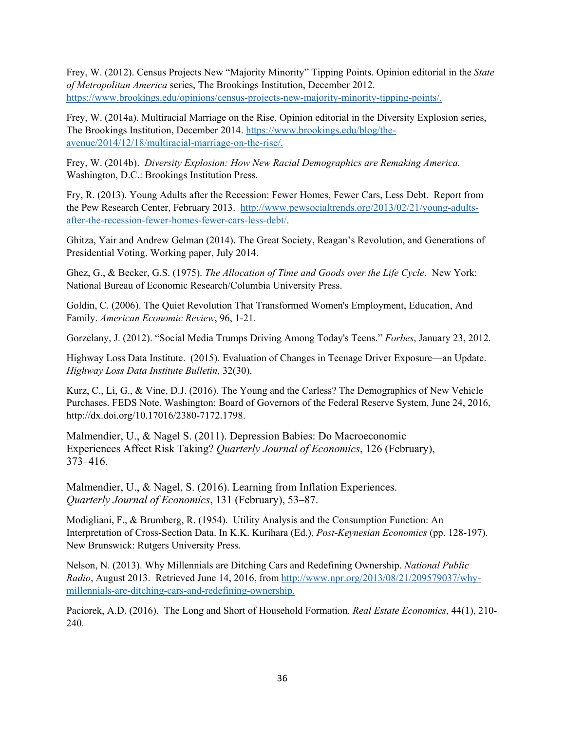Frey, W. (2012). Census Projects New "Majority Minority" Tipping Points. Opinion editorial in the *State of Metropolitan America* series, The Brookings Institution, December 2012. https://www.brookings.edu/opinions/census-projects-new-majority-minority-tipping-points/.

Frey, W. (2014a). Multiracial Marriage on the Rise. Opinion editorial in the Diversity Explosion series, The Brookings Institution, December 2014. https://www.brookings.edu/blog/theavenue/2014/12/18/multiracial-marriage-on-the-rise/.

Frey, W. (2014b). *Diversity Explosion: How New Racial Demographics are Remaking America.*  Washington, D.C.: Brookings Institution Press.

Fry, R. (2013). Young Adults after the Recession: Fewer Homes, Fewer Cars, Less Debt. Report from the Pew Research Center, February 2013. http://www.pewsocialtrends.org/2013/02/21/young-adultsafter-the-recession-fewer-homes-fewer-cars-less-debt/.

Ghitza, Yair and Andrew Gelman (2014). The Great Society, Reagan's Revolution, and Generations of Presidential Voting. Working paper, July 2014.

Ghez, G., & Becker, G.S. (1975). *The Allocation of Time and Goods over the Life Cycle*. New York: National Bureau of Economic Research/Columbia University Press.

Goldin, C. (2006). The Quiet Revolution That Transformed Women's Employment, Education, And Family. *American Economic Review*, 96, 1-21.

Gorzelany, J. (2012). "Social Media Trumps Driving Among Today's Teens." *Forbes*, January 23, 2012.

Highway Loss Data Institute. (2015). Evaluation of Changes in Teenage Driver Exposure—an Update. *Highway Loss Data Institute Bulletin,* 32(30).

Kurz, C., Li, G., & Vine, D.J. (2016). The Young and the Carless? The Demographics of New Vehicle Purchases. FEDS Note. Washington: Board of Governors of the Federal Reserve System, June 24, 2016, http://dx.doi.org/10.17016/2380-7172.1798.

Malmendier, U., & Nagel S. (2011). Depression Babies: Do Macroeconomic Experiences Affect Risk Taking? *Quarterly Journal of Economics*, 126 (February), 373–416.

Malmendier, U., & Nagel, S. (2016). Learning from Inflation Experiences. *Quarterly Journal of Economics*, 131 (February), 53–87.

Modigliani, F., & Brumberg, R. (1954). Utility Analysis and the Consumption Function: An Interpretation of Cross-Section Data. In K.K. Kurihara (Ed.), *Post-Keynesian Economics* (pp. 128-197). New Brunswick: Rutgers University Press.

Nelson, N. (2013). Why Millennials are Ditching Cars and Redefining Ownership. *National Public Radio*, August 2013. Retrieved June 14, 2016, from http://www.npr.org/2013/08/21/209579037/whymillennials-are-ditching-cars-and-redefining-ownership.

Paciorek, A.D. (2016). The Long and Short of Household Formation. *Real Estate Economics*, 44(1), 210- 240.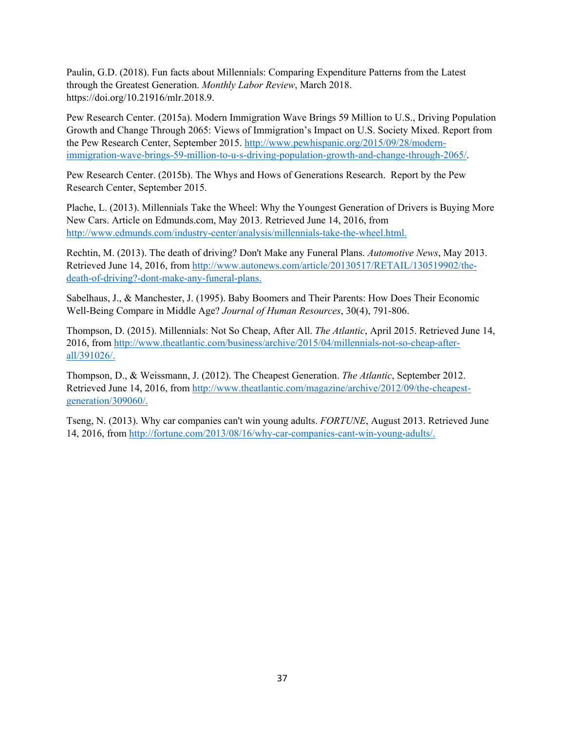Paulin, G.D. (2018). Fun facts about Millennials: Comparing Expenditure Patterns from the Latest through the Greatest Generation. *Monthly Labor Review*, March 2018. https://doi.org/10.21916/mlr.2018.9.

Pew Research Center. (2015a). Modern Immigration Wave Brings 59 Million to U.S., Driving Population Growth and Change Through 2065: Views of Immigration's Impact on U.S. Society Mixed. Report from the Pew Research Center, September 2015. http://www.pewhispanic.org/2015/09/28/modernimmigration-wave-brings-59-million-to-u-s-driving-population-growth-and-change-through-2065/.

Pew Research Center. (2015b). The Whys and Hows of Generations Research. Report by the Pew Research Center, September 2015.

Plache, L. (2013). Millennials Take the Wheel: Why the Youngest Generation of Drivers is Buying More New Cars. Article on Edmunds.com, May 2013. Retrieved June 14, 2016, from http://www.edmunds.com/industry-center/analysis/millennials-take-the-wheel.html.

Rechtin, M. (2013). The death of driving? Don't Make any Funeral Plans. *Automotive News*, May 2013. Retrieved June 14, 2016, from http://www.autonews.com/article/20130517/RETAIL/130519902/thedeath-of-driving?-dont-make-any-funeral-plans.

Sabelhaus, J., & Manchester, J. (1995). Baby Boomers and Their Parents: How Does Their Economic Well-Being Compare in Middle Age? *Journal of Human Resources*, 30(4), 791-806.

Thompson, D. (2015). Millennials: Not So Cheap, After All. *The Atlantic*, April 2015. Retrieved June 14, 2016, from http://www.theatlantic.com/business/archive/2015/04/millennials-not-so-cheap-afterall/391026/.

Thompson, D., & Weissmann, J. (2012). The Cheapest Generation. *The Atlantic*, September 2012. Retrieved June 14, 2016, from http://www.theatlantic.com/magazine/archive/2012/09/the-cheapestgeneration/309060/.

Tseng, N. (2013). Why car companies can't win young adults. *FORTUNE*, August 2013. Retrieved June 14, 2016, from http://fortune.com/2013/08/16/why-car-companies-cant-win-young-adults/.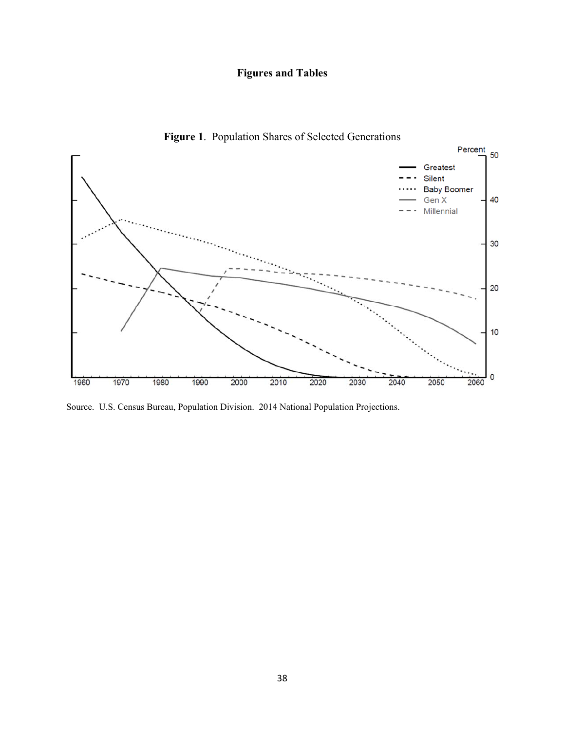## **Figures and Tables**



**Figure 1**. Population Shares of Selected Generations

Source. U.S. Census Bureau, Population Division. 2014 National Population Projections.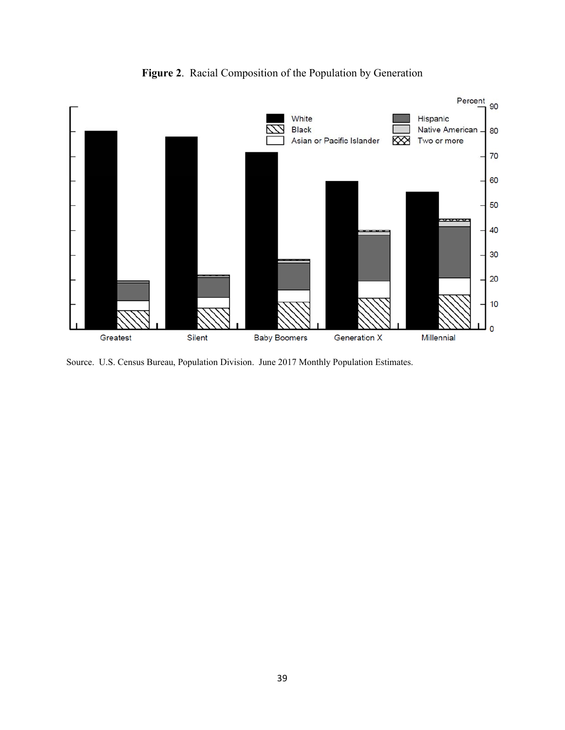

**Figure 2**. Racial Composition of the Population by Generation

Source. U.S. Census Bureau, Population Division. June 2017 Monthly Population Estimates.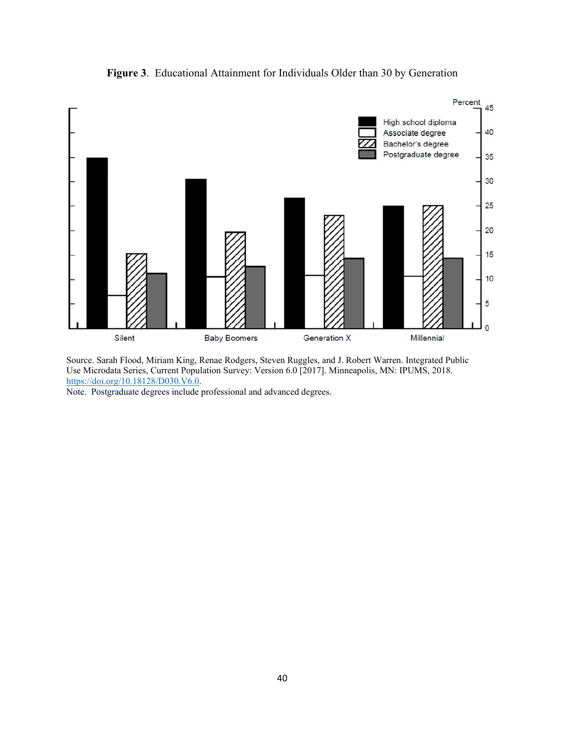

**Figure 3**. Educational Attainment for Individuals Older than 30 by Generation

Source. Sarah Flood, Miriam King, Renae Rodgers, Steven Ruggles, and J. Robert Warren. Integrated Public Use Microdata Series, Current Population Survey: Version 6.0 [2017]. Minneapolis, MN: IPUMS, 2018. https://doi.org/10.18128/D030.V6.0.

Note. Postgraduate degrees include professional and advanced degrees.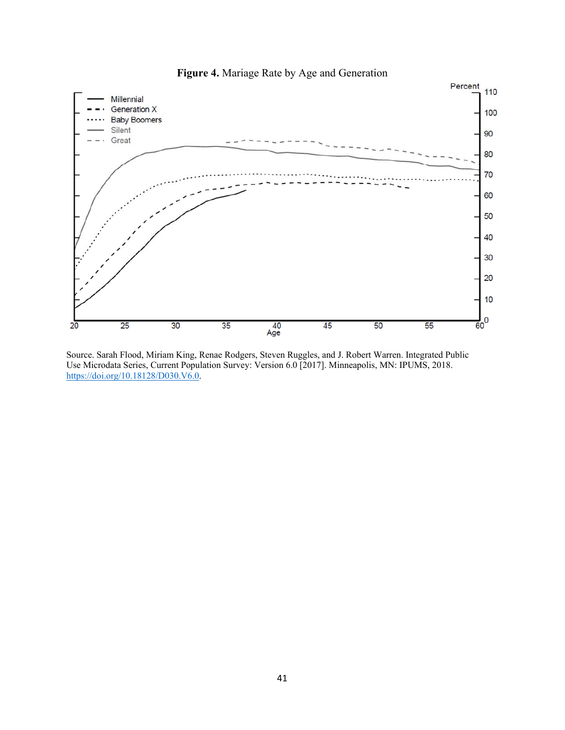

**Figure 4.** Mariage Rate by Age and Generation

Source. Sarah Flood, Miriam King, Renae Rodgers, Steven Ruggles, and J. Robert Warren. Integrated Public Use Microdata Series, Current Population Survey: Version 6.0 [2017]. Minneapolis, MN: IPUMS, 2018. https://doi.org/10.18128/D030.V6.0.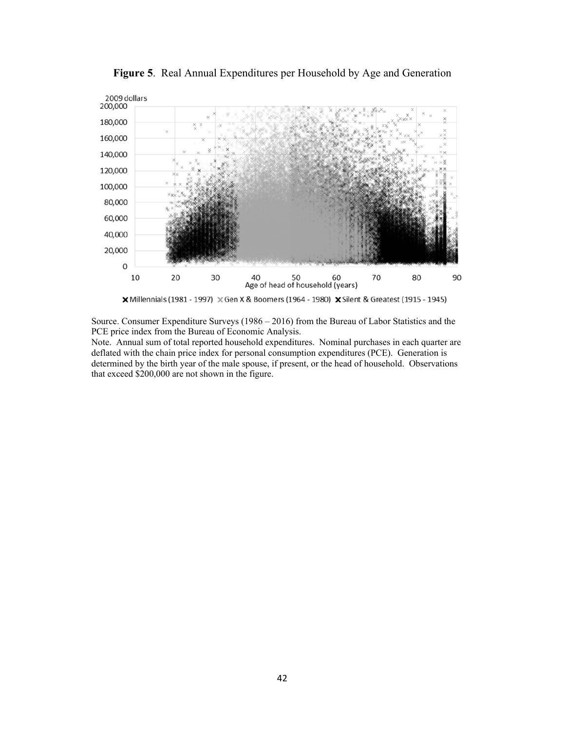

**Figure 5**. Real Annual Expenditures per Household by Age and Generation



Source. Consumer Expenditure Surveys (1986 – 2016) from the Bureau of Labor Statistics and the PCE price index from the Bureau of Economic Analysis.

Note. Annual sum of total reported household expenditures. Nominal purchases in each quarter are deflated with the chain price index for personal consumption expenditures (PCE). Generation is determined by the birth year of the male spouse, if present, or the head of household. Observations that exceed \$200,000 are not shown in the figure.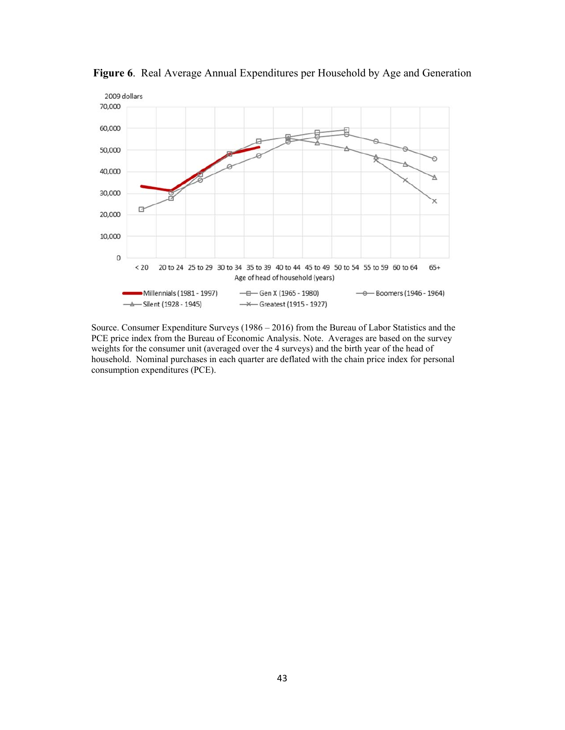

**Figure 6**. Real Average Annual Expenditures per Household by Age and Generation

Source. Consumer Expenditure Surveys (1986 – 2016) from the Bureau of Labor Statistics and the PCE price index from the Bureau of Economic Analysis. Note. Averages are based on the survey weights for the consumer unit (averaged over the 4 surveys) and the birth year of the head of household. Nominal purchases in each quarter are deflated with the chain price index for personal consumption expenditures (PCE).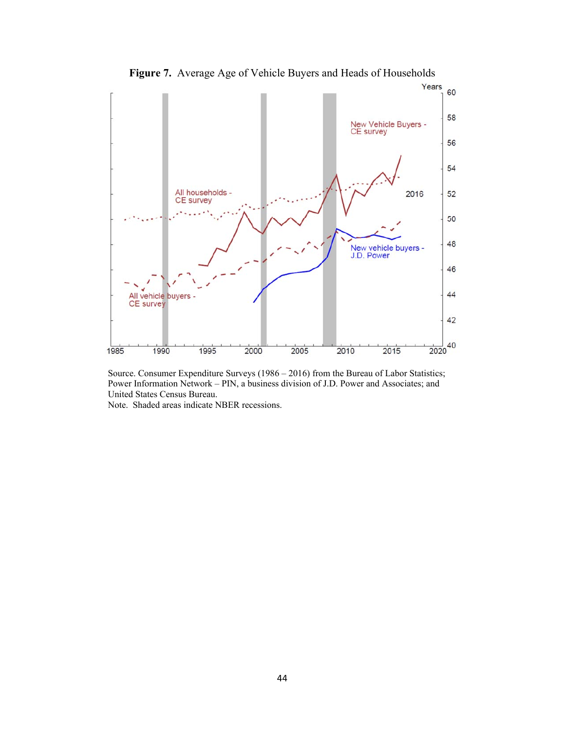

**Figure 7.** Average Age of Vehicle Buyers and Heads of Households

Source. Consumer Expenditure Surveys (1986 – 2016) from the Bureau of Labor Statistics; Power Information Network – PIN, a business division of J.D. Power and Associates; and United States Census Bureau.

Note. Shaded areas indicate NBER recessions.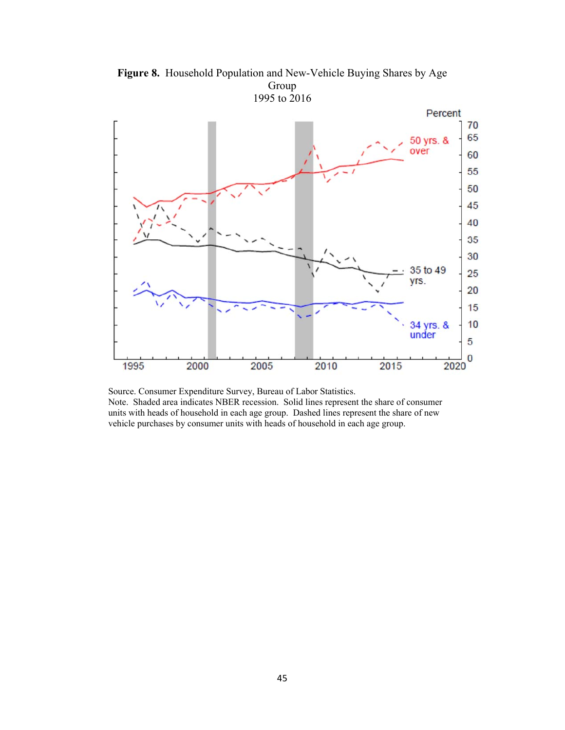

**Figure 8.** Household Population and New-Vehicle Buying Shares by Age Group

Source. Consumer Expenditure Survey, Bureau of Labor Statistics. Note. Shaded area indicates NBER recession. Solid lines represent the share of consumer units with heads of household in each age group. Dashed lines represent the share of new vehicle purchases by consumer units with heads of household in each age group.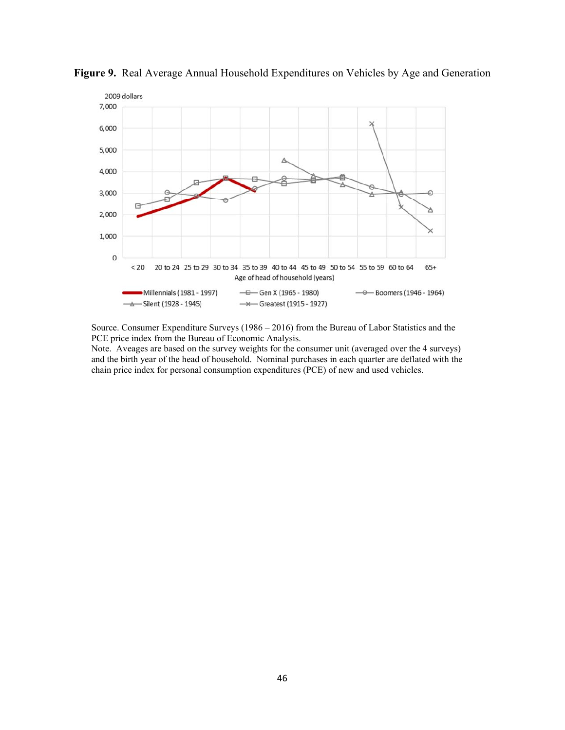

**Figure 9.** Real Average Annual Household Expenditures on Vehicles by Age and Generation

Source. Consumer Expenditure Surveys (1986 – 2016) from the Bureau of Labor Statistics and the PCE price index from the Bureau of Economic Analysis.

Note. Aveages are based on the survey weights for the consumer unit (averaged over the 4 surveys) and the birth year of the head of household. Nominal purchases in each quarter are deflated with the chain price index for personal consumption expenditures (PCE) of new and used vehicles.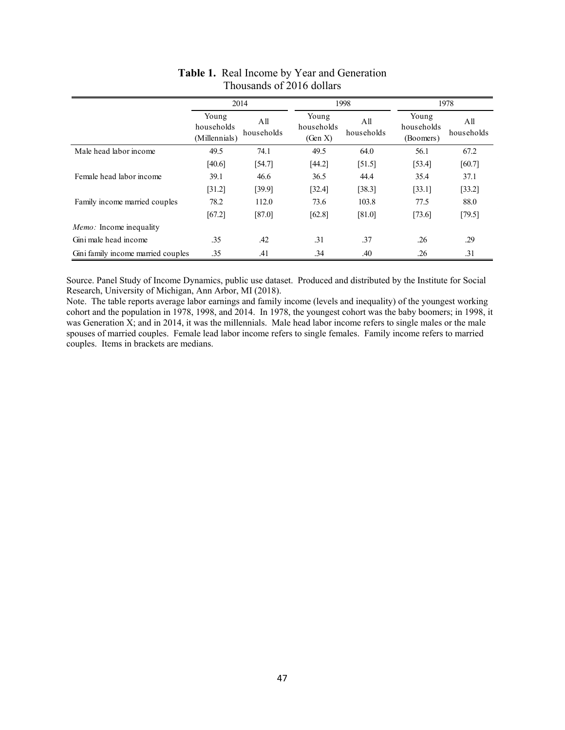|                                    | 2014                                 |                   |                                | 1998              | 1978                             |                   |  |
|------------------------------------|--------------------------------------|-------------------|--------------------------------|-------------------|----------------------------------|-------------------|--|
|                                    | Young<br>households<br>(Millennials) | All<br>households | Young<br>households<br>(Gen X) | All<br>households | Young<br>households<br>(Boomers) | All<br>households |  |
| Male head labor income             | 49.5                                 | 74.1              | 49.5                           | 64.0              | 56.1                             | 67.2              |  |
|                                    | [40.6]                               | [54.7]            | [44.2]                         | [51.5]            | [53.4]                           | [60.7]            |  |
| Female head labor income           | 39.1                                 | 46.6              | 36.5                           | 44.4              | 35.4                             | 37.1              |  |
|                                    | [31.2]                               | [39.9]            | [32.4]                         | [38.3]            | [33.1]                           | [33.2]            |  |
| Family income married couples      | 78.2                                 | 112.0             | 73.6                           | 103.8             | 77.5                             | 88.0              |  |
|                                    | [67.2]                               | [87.0]            | [62.8]                         | [81.0]            | [73.6]                           | $[79.5]$          |  |
| <i>Memo:</i> Income inequality     |                                      |                   |                                |                   |                                  |                   |  |
| Gini male head income              | .35                                  | .42               | .31                            | .37               | .26                              | .29               |  |
| Gini family income married couples | .35                                  | .41               | .34                            | .40               | .26                              | .31               |  |

## **Table 1.** Real Income by Year and Generation Thousands of 2016 dollars

Source. Panel Study of Income Dynamics, public use dataset. Produced and distributed by the Institute for Social Research, University of Michigan, Ann Arbor, MI (2018).

Note. The table reports average labor earnings and family income (levels and inequality) of the youngest working cohort and the population in 1978, 1998, and 2014. In 1978, the youngest cohort was the baby boomers; in 1998, it was Generation  $\hat{X}$ ; and in 2014, it was the millennials. Male head labor income refers to single males or the male spouses of married couples. Female lead labor income refers to single females. Family income refers to married couples. Items in brackets are medians.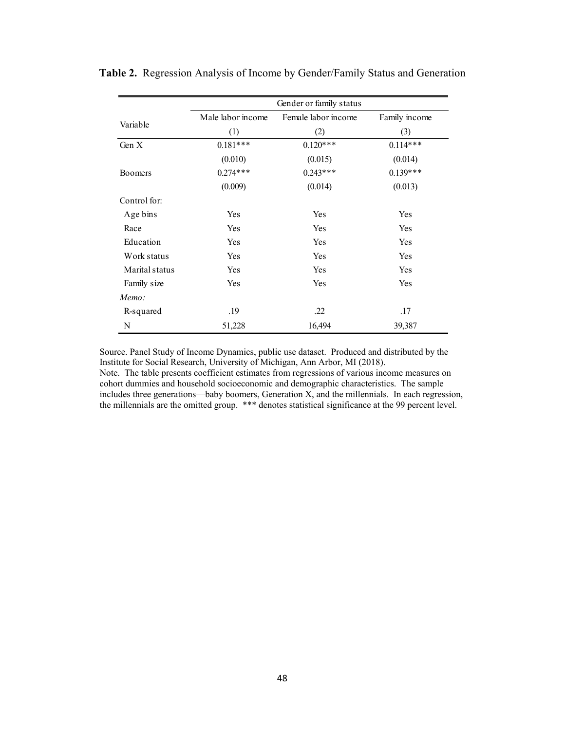|                |                   | Gender or family status |               |
|----------------|-------------------|-------------------------|---------------|
|                | Male labor income | Female labor income     | Family income |
| Variable       | (1)               | (2)                     | (3)           |
| Gen X          | $0.181***$        | $0.120***$              | $0.114***$    |
|                | (0.010)           | (0.015)                 | (0.014)       |
| <b>Boomers</b> | $0.274***$        | $0.243***$              | $0.139***$    |
|                | (0.009)           | (0.014)                 | (0.013)       |
| Control for:   |                   |                         |               |
| Age bins       | Yes               | Yes                     | Yes           |
| Race           | Yes               | Yes                     | Yes           |
| Education      | Yes               | Yes                     | Yes           |
| Work status    | Yes               | Yes                     | Yes           |
| Marital status | Yes               | Yes                     | Yes           |
| Family size    | Yes               | Yes                     | Yes           |
| Memo:          |                   |                         |               |
| R-squared      | .19               | .22                     | .17           |
| N              | 51,228            | 16,494                  | 39,387        |

**Table 2.** Regression Analysis of Income by Gender/Family Status and Generation

Source. Panel Study of Income Dynamics, public use dataset. Produced and distributed by the Institute for Social Research, University of Michigan, Ann Arbor, MI (2018). Note. The table presents coefficient estimates from regressions of various income measures on cohort dummies and household socioeconomic and demographic characteristics. The sample includes three generations—baby boomers, Generation X, and the millennials. In each regression, the millennials are the omitted group. \*\*\* denotes statistical significance at the 99 percent level.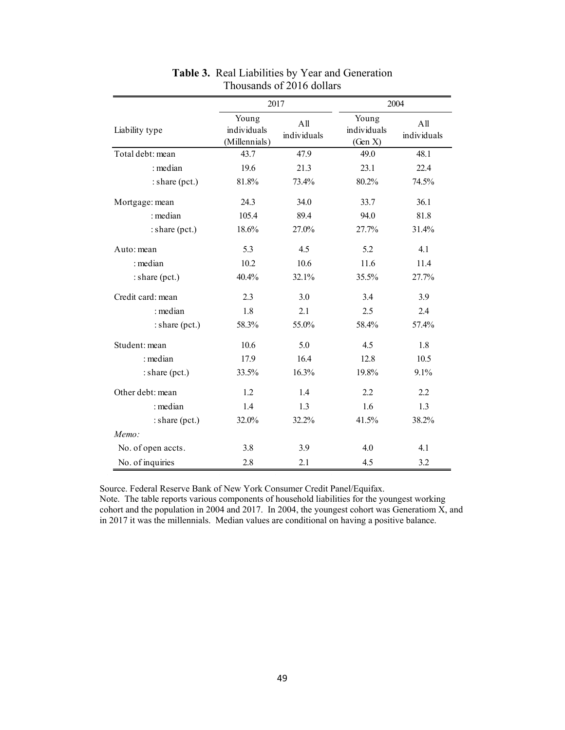|                    | 2017                                  |                    |                                 | 2004               |
|--------------------|---------------------------------------|--------------------|---------------------------------|--------------------|
| Liability type     | Young<br>individuals<br>(Millennials) | A11<br>individuals | Young<br>individuals<br>(Gen X) | A11<br>individuals |
| Total debt: mean   | 43.7                                  | 47.9               | 49.0                            | 48.1               |
| : median           | 19.6                                  | 21.3               | 23.1                            | 22.4               |
| : share (pct.)     | 81.8%                                 | 73.4%              | 80.2%                           | 74.5%              |
| Mortgage: mean     | 24.3                                  | 34.0               | 33.7                            | 36.1               |
| : median           | 105.4                                 | 89.4               | 94.0                            | 81.8               |
| : share (pct.)     | 18.6%                                 | 27.0%              | 27.7%                           | 31.4%              |
| Auto: mean         | 5.3                                   | 4.5                | 5.2                             | 4.1                |
| : median           | 10.2                                  | 10.6               | 11.6                            | 11.4               |
| : share (pct.)     | 40.4%                                 | 32.1%              | 35.5%                           | 27.7%              |
| Credit card: mean  | 2.3                                   | 3.0                | 3.4                             | 3.9                |
| : median           | 1.8                                   | 2.1                | 2.5                             | 2.4                |
| : share (pct.)     | 58.3%                                 | 55.0%              | 58.4%                           | 57.4%              |
| Student: mean      | 10.6                                  | 5.0                | 4.5                             | 1.8                |
| : median           | 17.9                                  | 16.4               | 12.8                            | 10.5               |
| : share (pct.)     | 33.5%                                 | 16.3%              | 19.8%                           | 9.1%               |
| Other debt: mean   | 1.2                                   | 1.4                | 2.2                             | 2.2                |
| : median           | 1.4                                   | 1.3                | 1.6                             | 1.3                |
| : share (pct.)     | 32.0%                                 | 32.2%              | 41.5%                           | 38.2%              |
| Memo:              |                                       |                    |                                 |                    |
| No. of open accts. | 3.8                                   | 3.9                | 4.0                             | 4.1                |
| No. of inquiries   | 2.8                                   | 2.1                | 4.5                             | 3.2                |

**Table 3.** Real Liabilities by Year and Generation Thousands of 2016 dollars

Source. Federal Reserve Bank of New York Consumer Credit Panel/Equifax.

Note. The table reports various components of household liabilities for the youngest working cohort and the population in 2004 and 2017. In 2004, the youngest cohort was Generatiom  $\bar{X}$ , and in 2017 it was the millennials. Median values are conditional on having a positive balance.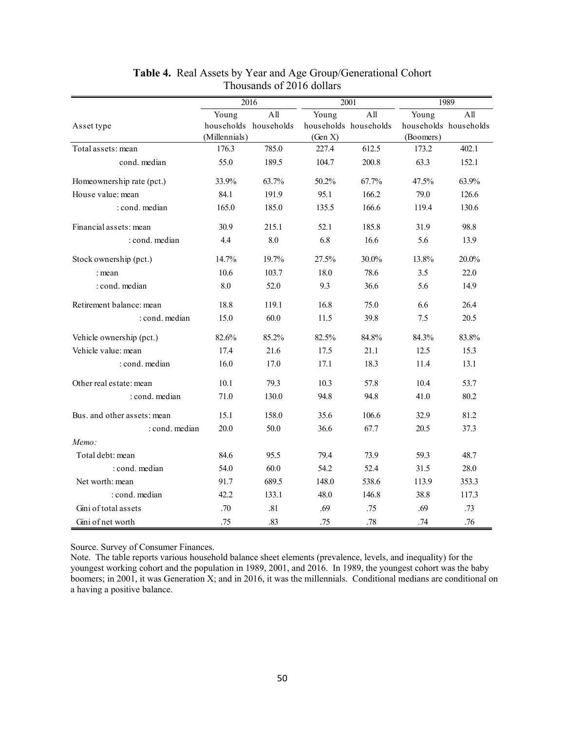|                             | 2016                  |       |         | 2001                  |           | 1989                  |  |
|-----------------------------|-----------------------|-------|---------|-----------------------|-----------|-----------------------|--|
|                             | Young                 | All   | Young   | All                   | Young     | All                   |  |
| Asset type                  | households households |       |         | households households |           | households households |  |
|                             | (Millennials)         |       | (Gen X) |                       | (Boomers) |                       |  |
| Total assets: mean          | 176.3                 | 785.0 | 227.4   | 612.5                 | 173.2     | 402.1                 |  |
| cond. median                | 55.0                  | 189.5 | 104.7   | 200.8                 | 63.3      | 152.1                 |  |
| Homeownership rate (pct.)   | 33.9%                 | 63.7% | 50.2%   | 67.7%                 | 47.5%     | 63.9%                 |  |
| House value: mean           | 84.1                  | 191.9 | 95.1    | 166.2                 | 79.0      | 126.6                 |  |
| : cond. median              | 165.0                 | 185.0 | 135.5   | 166.6                 | 119.4     | 130.6                 |  |
| Financial assets: mean      | 30.9                  | 215.1 | 52.1    | 185.8                 | 31.9      | 98.8                  |  |
| : cond. median              | 4.4                   | 8.0   | 6.8     | 16.6                  | 5.6       | 13.9                  |  |
| Stock ownership (pct.)      | 14.7%                 | 19.7% | 27.5%   | 30.0%                 | 13.8%     | 20.0%                 |  |
| : mean                      | 10.6                  | 103.7 | 18.0    | 78.6                  | 3.5       | 22.0                  |  |
| : cond. median              | 8.0                   | 52.0  | 9.3     | 36.6                  | 5.6       | 14.9                  |  |
| Retirement balance: mean    | 18.8                  | 119.1 | 16.8    | 75.0                  | 6.6       | 26.4                  |  |
| : cond. median              | 15.0                  | 60.0  | 11.5    | 39.8                  | 7.5       | 20.5                  |  |
| Vehicle ownership (pct.)    | 82.6%                 | 85.2% | 82.5%   | 84.8%                 | 84.3%     | 83.8%                 |  |
| Vehicle value: mean         | 17.4                  | 21.6  | 17.5    | 21.1                  | 12.5      | 15.3                  |  |
| : cond. median              | 16.0                  | 17.0  | 17.1    | 18.3                  | 11.4      | 13.1                  |  |
| Other real estate: mean     | 10.1                  | 79.3  | 10.3    | 57.8                  | 10.4      | 53.7                  |  |
| : cond. median              | 71.0                  | 130.0 | 94.8    | 94.8                  | 41.0      | 80.2                  |  |
| Bus, and other assets: mean | 15.1                  | 158.0 | 35.6    | 106.6                 | 32.9      | 81.2                  |  |
| : cond. median              | 20.0                  | 50.0  | 36.6    | 67.7                  | 20.5      | 37.3                  |  |
| Memo:                       |                       |       |         |                       |           |                       |  |
| Total debt: mean            | 84.6                  | 95.5  | 79.4    | 73.9                  | 59.3      | 48.7                  |  |
| : cond. median              | 54.0                  | 60.0  | 54.2    | 52.4                  | 31.5      | 28.0                  |  |
| Net worth: mean             | 91.7                  | 689.5 | 148.0   | 538.6                 | 113.9     | 353.3                 |  |
| : cond. median              | 42.2                  | 133.1 | 48.0    | 146.8                 | 38.8      | 117.3                 |  |
| Gini of total assets        | .70                   | .81   | .69     | .75                   | .69       | .73                   |  |
| Gini of net worth           | .75                   | .83   | .75     | .78                   | .74       | .76                   |  |

**Table 4.** Real Assets by Year and Age Group/Generational Cohort Thousands of 2016 dollars

Source. Survey of Consumer Finances.

Note. The table reports various household balance sheet elements (prevalence, levels, and inequality) for the youngest working cohort and the population in 1989, 2001, and 2016. In 1989, the youngest cohort was the baby boomers; in 2001, it was Generation X; and in 2016, it was the millennials. Conditional medians are conditional on a having a positive balance.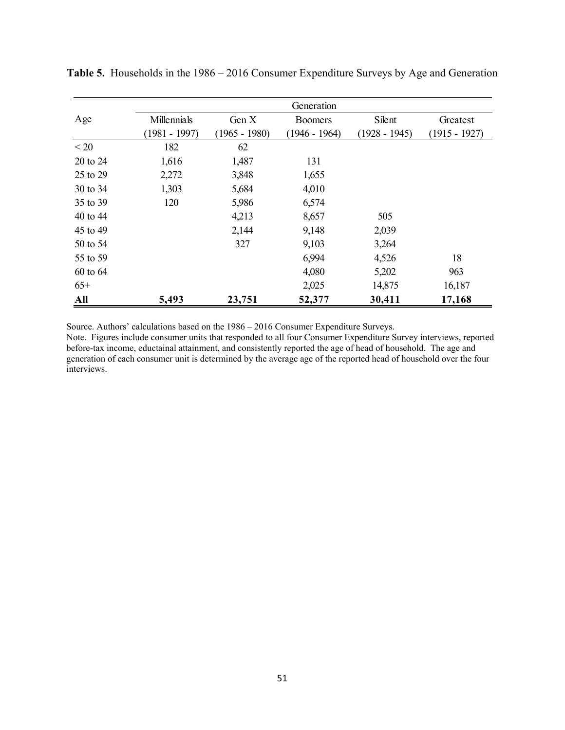|          |                 |                 | Generation      |                 |                 |
|----------|-----------------|-----------------|-----------------|-----------------|-----------------|
| Age      | Millennials     | Gen X           | <b>Boomers</b>  | Silent          | Greatest        |
|          | $(1981 - 1997)$ | $(1965 - 1980)$ | $(1946 - 1964)$ | $(1928 - 1945)$ | $(1915 - 1927)$ |
| < 20     | 182             | 62              |                 |                 |                 |
| 20 to 24 | 1,616           | 1,487           | 131             |                 |                 |
| 25 to 29 | 2,272           | 3,848           | 1,655           |                 |                 |
| 30 to 34 | 1,303           | 5,684           | 4,010           |                 |                 |
| 35 to 39 | 120             | 5,986           | 6,574           |                 |                 |
| 40 to 44 |                 | 4,213           | 8,657           | 505             |                 |
| 45 to 49 |                 | 2,144           | 9,148           | 2,039           |                 |
| 50 to 54 |                 | 327             | 9,103           | 3,264           |                 |
| 55 to 59 |                 |                 | 6,994           | 4,526           | 18              |
| 60 to 64 |                 |                 | 4,080           | 5,202           | 963             |
| $65+$    |                 |                 | 2,025           | 14,875          | 16,187          |
| All      | 5,493           | 23,751          | 52,377          | 30,411          | 17,168          |

**Table 5.** Households in the 1986 – 2016 Consumer Expenditure Surveys by Age and Generation

Source. Authors' calculations based on the 1986 – 2016 Consumer Expenditure Surveys.

Note. Figures include consumer units that responded to all four Consumer Expenditure Survey interviews, reported before-tax income, eductainal attainment, and consistently reported the age of head of household. The age and generation of each consumer unit is determined by the average age of the reported head of household over the four interviews.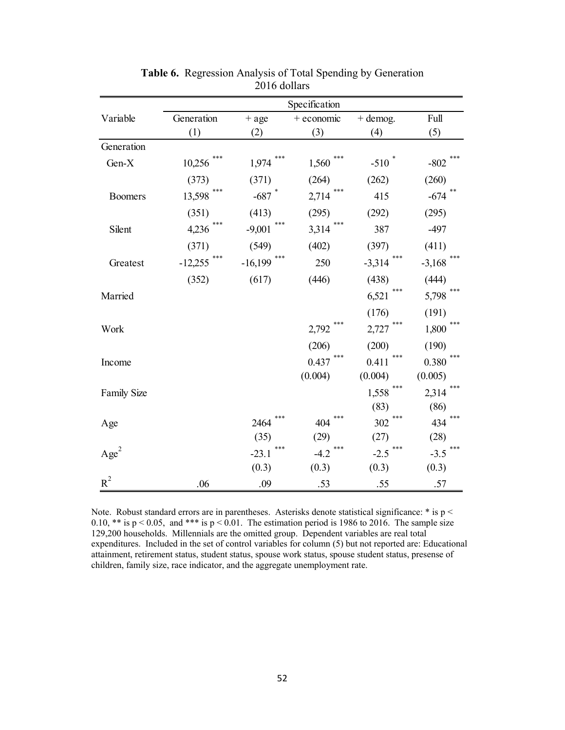|                  |               |                  | Specification |               |               |
|------------------|---------------|------------------|---------------|---------------|---------------|
| Variable         | Generation    | $+$ age          | + economic    | $+$ demog.    | Full          |
|                  | (1)           | (2)              | (3)           | (4)           | (5)           |
| Generation       |               |                  |               |               |               |
| Gen-X            | 10,256        | 1,974            | 1,560         | $-510$        | $-802$        |
|                  | (373)         | (371)            | (264)         | (262)         | (260)         |
| <b>Boomers</b>   | ***<br>13,598 | $-687$           | ***<br>2,714  | 415           | $-674$        |
|                  | (351)         | (413)            | (295)         | (292)         | (295)         |
| Silent           | ***<br>4,236  | ***<br>$-9,001$  | ***<br>3,314  | 387           | $-497$        |
|                  | (371)         | (549)            | (402)         | (397)         | (411)         |
| Greatest         | $-12,255$     | ***<br>$-16,199$ | 250           | $-3,314$      | $-3,168$      |
|                  | (352)         | (617)            | (446)         | (438)         | (444)         |
| Married          |               |                  |               | 6,521         | 5,798         |
|                  |               |                  |               | (176)         | (191)         |
| Work             |               |                  | 2,792         | ***<br>2,727  | 1,800         |
|                  |               |                  | (206)         | (200)         | (190)         |
| Income           |               |                  | ***<br>0.437  | ***<br>0.411  | 0.380         |
|                  |               |                  | (0.004)       | (0.004)       | (0.005)       |
| Family Size      |               |                  |               | 1,558         | 2,314         |
|                  |               |                  |               | (83)          | (86)          |
| Age              |               | 2464             | ***<br>404    | ***<br>302    | ***<br>434    |
|                  |               | (35)             | (29)          | (27)          | (28)          |
| Age <sup>2</sup> |               | ***<br>$-23.1$   | ***<br>$-4.2$ | ***<br>$-2.5$ | ***<br>$-3.5$ |
|                  |               | (0.3)            | (0.3)         | (0.3)         | (0.3)         |
| $R^2$            | .06           | .09              | .53           | .55           | .57           |

**Table 6.** Regression Analysis of Total Spending by Generation 2016 dollars

Note. Robust standard errors are in parentheses. Asterisks denote statistical significance: \* is p < 0.10, \*\* is  $p < 0.05$ , and \*\*\* is  $p < 0.01$ . The estimation period is 1986 to 2016. The sample size 129,200 households. Millennials are the omitted group. Dependent variables are real total expenditures. Included in the set of control variables for column (5) but not reported are: Educational attainment, retirement status, student status, spouse work status, spouse student status, presense of children, family size, race indicator, and the aggregate unemployment rate.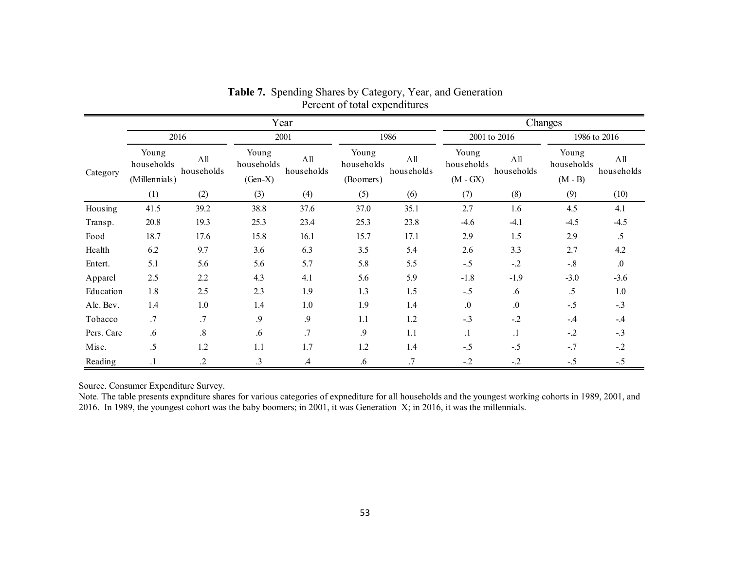|            | Year                                 |                   |                                  |                   |                                  |                   |                                   |                   | Changes                          |                   |
|------------|--------------------------------------|-------------------|----------------------------------|-------------------|----------------------------------|-------------------|-----------------------------------|-------------------|----------------------------------|-------------------|
|            | 2016<br>2001                         |                   | 1986                             |                   |                                  | 2001 to 2016      | 1986 to 2016                      |                   |                                  |                   |
| Category   | Young<br>households<br>(Millennials) | All<br>households | Young<br>households<br>$(Gen-X)$ | All<br>households | Young<br>households<br>(Boomers) | All<br>households | Young<br>households<br>$(M - GX)$ | All<br>households | Young<br>households<br>$(M - B)$ | All<br>households |
|            | (1)                                  | (2)               | (3)                              | (4)               | (5)                              | (6)               | (7)                               | (8)               | (9)                              | (10)              |
| Housing    | 41.5                                 | 39.2              | 38.8                             | 37.6              | 37.0                             | 35.1              | 2.7                               | 1.6               | 4.5                              | 4.1               |
| Transp.    | 20.8                                 | 19.3              | 25.3                             | 23.4              | 25.3                             | 23.8              | $-4.6$                            | $-4.1$            | $-4.5$                           | $-4.5$            |
| Food       | 18.7                                 | 17.6              | 15.8                             | 16.1              | 15.7                             | 17.1              | 2.9                               | 1.5               | 2.9                              | $.5\,$            |
| Health     | 6.2                                  | 9.7               | 3.6                              | 6.3               | 3.5                              | 5.4               | 2.6                               | 3.3               | 2.7                              | 4.2               |
| Entert.    | 5.1                                  | 5.6               | 5.6                              | 5.7               | 5.8                              | 5.5               | $-.5$                             | $-2$              | $-.8$                            | $\boldsymbol{0}$  |
| Apparel    | 2.5                                  | 2.2               | 4.3                              | 4.1               | 5.6                              | 5.9               | $-1.8$                            | $-1.9$            | $-3.0$                           | $-3.6$            |
| Education  | 1.8                                  | 2.5               | 2.3                              | 1.9               | 1.3                              | 1.5               | $-.5$                             | .6                | .5                               | 1.0               |
| Alc. Bev.  | 1.4                                  | 1.0               | 1.4                              | 1.0               | 1.9                              | 1.4               | 0.                                | 0.                | $-.5$                            | $-.3$             |
| Tobacco    | .7                                   | .7                | 9.                               | 9.                | 1.1                              | 1.2               | $-.3$                             | $-.2$             | $-.4$                            | $-.4$             |
| Pers. Care | .6                                   | $\boldsymbol{.8}$ | .6                               | .7                | .9                               | 1.1               | $\cdot$                           | $\cdot$           | $-2$                             | $-.3$             |
| Misc.      | .5                                   | 1.2               | 1.1                              | 1.7               | 1.2                              | 1.4               | $-.5$                             | $-.5$             | $-.7$                            | $-.2$             |
| Reading    | $\cdot$                              | .2                | .3                               | $.4\,$            | .6                               | .7                | $-.2$                             | $-2$              | $-.5$                            | $-.5$             |

**Table 7.** Spending Shares by Category, Year, and Generation Percent of total expenditures

Source. Consumer Expenditure Survey.

Note. The table presents expnditure shares for various categories of expnediture for all households and the youngest working cohorts in 1989, 2001, and 2016. In 1989, the youngest cohort was the baby boomers; in 2001, it was Generation X; in 2016, it was the millennials.